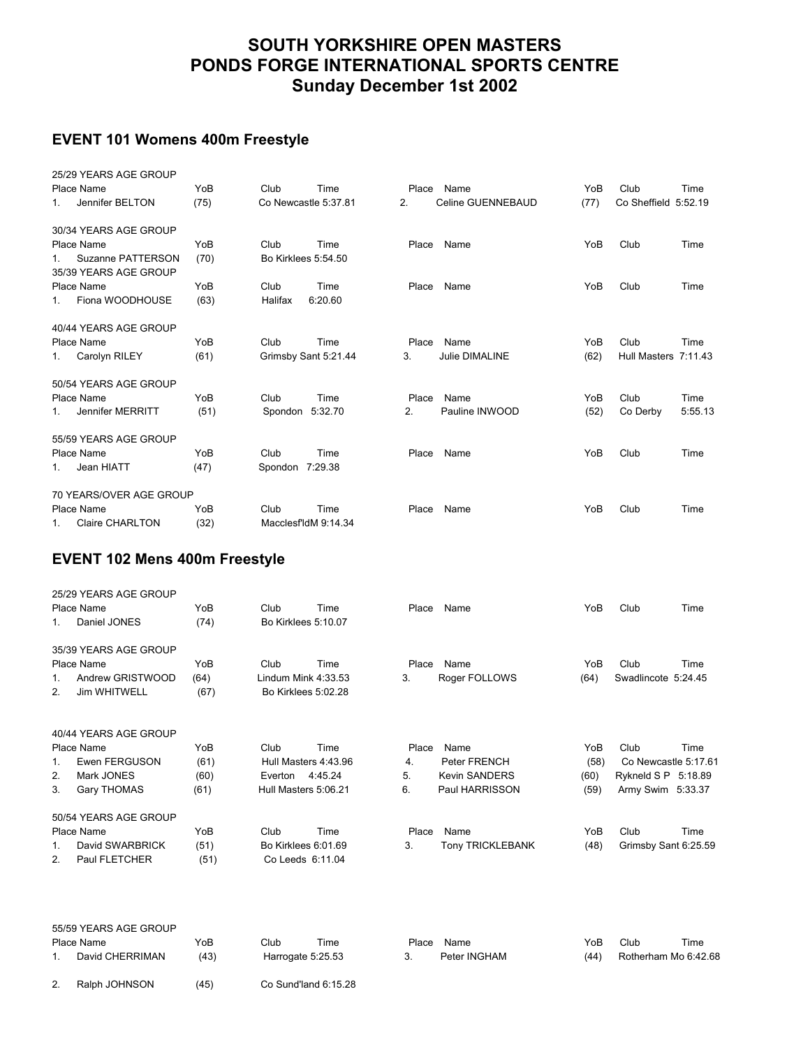# **SOUTH YORKSHIRE OPEN MASTERS PONDS FORGE INTERNATIONAL SPORTS CENTRE Sunday December 1st 2002**

## **EVENT 101 Womens 400m Freestyle**

|         | 25/29 YEARS AGE GROUP               |      |                     |                      |       |                       |      |                      |         |
|---------|-------------------------------------|------|---------------------|----------------------|-------|-----------------------|------|----------------------|---------|
|         | Place Name                          | YoB  | Club                | Time                 | Place | Name                  | YoB  | Club                 | Time    |
| 1.      | Jennifer BELTON                     | (75) |                     | Co Newcastle 5:37.81 | 2.    | Celine GUENNEBAUD     | (77) | Co Sheffield 5:52.19 |         |
|         | 30/34 YEARS AGE GROUP               |      |                     |                      |       |                       |      |                      |         |
|         | Place Name                          | YoB  | Club                | Time                 |       | Place Name            | YoB  | Club                 | Time    |
| 1.      | Suzanne PATTERSON                   | (70) | Bo Kirklees 5:54.50 |                      |       |                       |      |                      |         |
|         | 35/39 YEARS AGE GROUP<br>Place Name | YoB  | Club                | Time                 | Place | Name                  | YoB  | Club                 | Time    |
| $1_{-}$ | Fiona WOODHOUSE                     | (63) | Halifax             | 6:20.60              |       |                       |      |                      |         |
|         |                                     |      |                     |                      |       |                       |      |                      |         |
|         | 40/44 YEARS AGE GROUP               |      |                     |                      |       |                       |      |                      |         |
|         | Place Name                          | YoB  | Club                | Time                 | Place | Name                  | YoB  | Club                 | Time    |
| 1.      | Carolyn RILEY                       | (61) |                     | Grimsby Sant 5:21.44 | 3.    | <b>Julie DIMALINE</b> | (62) | Hull Masters 7:11.43 |         |
|         | 50/54 YEARS AGE GROUP               |      |                     |                      |       |                       |      |                      |         |
|         | Place Name                          | YoB  | Club                | Time                 | Place | Name                  | YoB  | Club                 | Time    |
| $1_{-}$ | Jennifer MERRITT                    | (51) | Spondon 5:32.70     |                      | 2.    | Pauline INWOOD        | (52) | Co Derby             | 5:55.13 |
|         | 55/59 YEARS AGE GROUP               |      |                     |                      |       |                       |      |                      |         |
|         | Place Name                          | YoB  | Club                | Time                 | Place | Name                  | YoB  | Club                 | Time    |
| 1.      | Jean HIATT                          | (47) | Spondon 7:29.38     |                      |       |                       |      |                      |         |
|         | 70 YEARS/OVER AGE GROUP             |      |                     |                      |       |                       |      |                      |         |
|         | Place Name                          | YoB  | Club                | Time                 | Place | Name                  | YoB  | Club                 | Time    |
| 1.      | <b>Claire CHARLTON</b>              | (32) |                     | MacclesfldM 9:14.34  |       |                       |      |                      |         |

## **EVENT 102 Mens 400m Freestyle**

|         | 25/29 YEARS AGE GROUP |      |                      |         |       |                         |      |                      |      |
|---------|-----------------------|------|----------------------|---------|-------|-------------------------|------|----------------------|------|
|         | Place Name            | YoB  | Club                 | Time    | Place | Name                    | YoB  | Club                 | Time |
| $1_{-}$ | Daniel JONES          | (74) | Bo Kirklees 5:10.07  |         |       |                         |      |                      |      |
|         | 35/39 YEARS AGE GROUP |      |                      |         |       |                         |      |                      |      |
|         | Place Name            | YoB  | Club                 | Time    | Place | Name                    | YoB  | Club                 | Time |
| $1_{-}$ | Andrew GRISTWOOD      | (64) | Lindum Mink 4:33.53  |         | 3.    | Roger FOLLOWS           | (64) | Swadlincote 5:24.45  |      |
| 2.      | Jim WHITWELL          | (67) | Bo Kirklees 5:02.28  |         |       |                         |      |                      |      |
|         | 40/44 YEARS AGE GROUP |      |                      |         |       |                         |      |                      |      |
|         | Place Name            | YoB  | Club                 | Time    | Place | Name                    | YoB  | Club                 | Time |
| $1_{-}$ | Ewen FERGUSON         | (61) | Hull Masters 4:43.96 |         | 4.    | Peter FRENCH            | (58) | Co Newcastle 5:17.61 |      |
| 2.      | Mark JONES            | (60) | Everton              | 4:45.24 | 5.    | <b>Kevin SANDERS</b>    | (60) | Rykneld S P 5:18.89  |      |
| 3.      | <b>Gary THOMAS</b>    | (61) | Hull Masters 5:06.21 |         | 6.    | Paul HARRISSON          | (59) | Army Swim 5:33.37    |      |
|         | 50/54 YEARS AGE GROUP |      |                      |         |       |                         |      |                      |      |
|         | Place Name            | YoB  | Club                 | Time    | Place | Name                    | YoB  | Club                 | Time |
| 1.      | David SWARBRICK       | (51) | Bo Kirklees 6:01.69  |         | 3.    | <b>Tony TRICKLEBANK</b> | (48) | Grimsby Sant 6:25.59 |      |
| 2.      | Paul FLETCHER         | (51) | Co Leeds 6:11.04     |         |       |                         |      |                      |      |
|         |                       |      |                      |         |       |                         |      |                      |      |

|               | 55/59 YEARS AGE GROUP |      |                   |                      |       |              |      |      |                      |
|---------------|-----------------------|------|-------------------|----------------------|-------|--------------|------|------|----------------------|
|               | Place Name            | YoB  | Club              | Time                 | Place | Name         | YoB  | Club | Time                 |
|               | David CHERRIMAN       | (43) | Harrogate 5:25.53 |                      |       | Peter INGHAM | (44) |      | Rotherham Mo 6:42.68 |
| າ<br><u>.</u> | Ralph JOHNSON         | (45) |                   | Co Sund'land 6:15.28 |       |              |      |      |                      |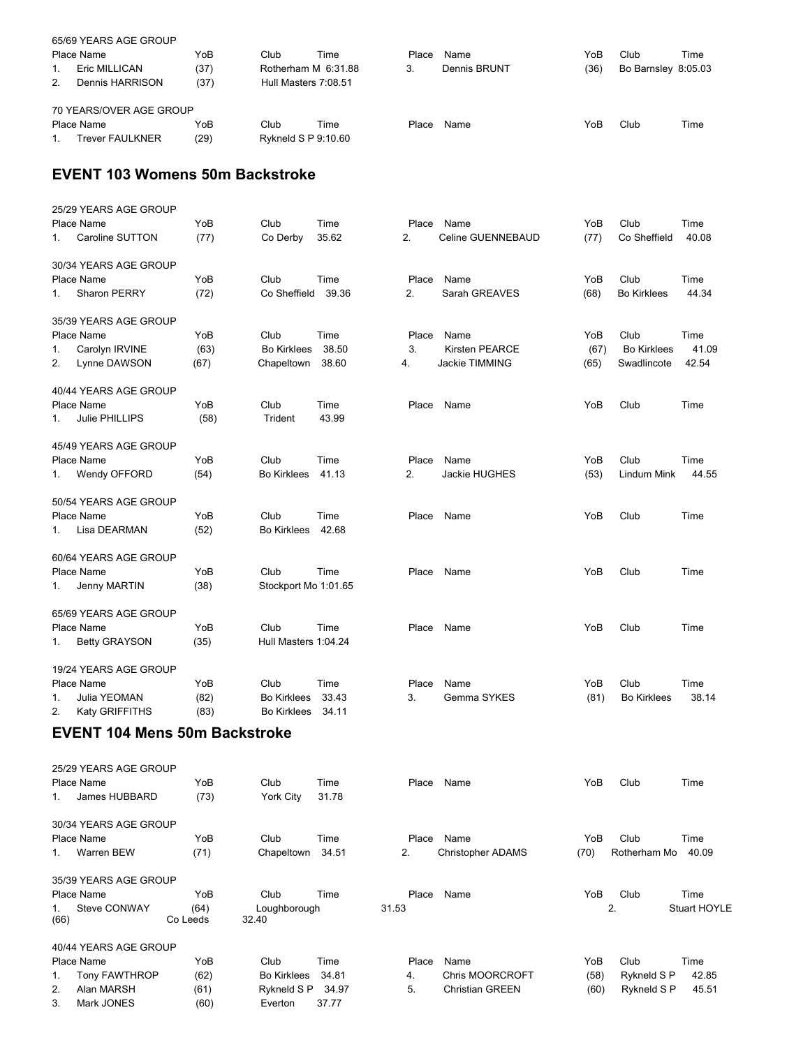|                | 65/69 YEARS AGE GROUP   |      |                      |      |       |              |      |                     |      |
|----------------|-------------------------|------|----------------------|------|-------|--------------|------|---------------------|------|
|                | Place Name              | YoB  | Club                 | Time | Place | Name         | YoB  | Club                | Time |
|                | Eric MILLICAN           | (37) | Rotherham M 6:31.88  |      | 3.    | Dennis BRUNT | (36) | Bo Barnsley 8:05.03 |      |
| 2 <sub>1</sub> | Dennis HARRISON         | (37) | Hull Masters 7:08.51 |      |       |              |      |                     |      |
|                | 70 YEARS/OVER AGE GROUP |      |                      |      |       |              |      |                     |      |
|                | Place Name              | YoB  | Club                 | Time | Place | Name         | YoB  | Club                | Time |
|                | <b>Trever FAULKNER</b>  | (29) | Rykneld S P 9:10.60  |      |       |              |      |                     |      |

#### **EVENT 103 Womens 50m Backstroke**

|    | 25/29 YEARS AGE GROUP |      |                      |       |       |                       |      |                    |       |
|----|-----------------------|------|----------------------|-------|-------|-----------------------|------|--------------------|-------|
|    | Place Name            | YoB  | Club                 | Time  | Place | Name                  | YoB  | Club               | Time  |
| 1. | Caroline SUTTON       | (77) | Co Derby             | 35.62 | 2.    | Celine GUENNEBAUD     | (77) | Co Sheffield       | 40.08 |
|    | 30/34 YEARS AGE GROUP |      |                      |       |       |                       |      |                    |       |
|    | Place Name            | YoB  | Club                 | Time  | Place | Name                  | YoB  | Club               | Time  |
| 1. | Sharon PERRY          | (72) | Co Sheffield         | 39.36 | 2.    | Sarah GREAVES         | (68) | <b>Bo Kirklees</b> | 44.34 |
|    | 35/39 YEARS AGE GROUP |      |                      |       |       |                       |      |                    |       |
|    | Place Name            | YoB  | Club                 | Time  | Place | Name                  | YoB  | Club               | Time  |
| 1. | Carolyn IRVINE        | (63) | <b>Bo Kirklees</b>   | 38.50 | 3.    | <b>Kirsten PEARCE</b> | (67) | <b>Bo Kirklees</b> | 41.09 |
| 2. | Lynne DAWSON          | (67) | Chapeltown           | 38.60 | 4.    | Jackie TIMMING        | (65) | Swadlincote        | 42.54 |
|    | 40/44 YEARS AGE GROUP |      |                      |       |       |                       |      |                    |       |
|    | Place Name            | YoB  | Club                 | Time  | Place | Name                  | YoB  | Club               | Time  |
| 1. | Julie PHILLIPS        | (58) | Trident              | 43.99 |       |                       |      |                    |       |
|    | 45/49 YEARS AGE GROUP |      |                      |       |       |                       |      |                    |       |
|    | Place Name            | YoB  | Club                 | Time  | Place | Name                  | YoB  | Club               | Time  |
| 1. | Wendy OFFORD          | (54) | <b>Bo Kirklees</b>   | 41.13 | 2.    | Jackie HUGHES         | (53) | Lindum Mink        | 44.55 |
|    | 50/54 YEARS AGE GROUP |      |                      |       |       |                       |      |                    |       |
|    | Place Name            | YoB  | Club                 | Time  | Place | Name                  | YoB  | Club               | Time  |
| 1. | Lisa DEARMAN          | (52) | <b>Bo Kirklees</b>   | 42.68 |       |                       |      |                    |       |
|    | 60/64 YEARS AGE GROUP |      |                      |       |       |                       |      |                    |       |
|    | Place Name            | YoB  | Club                 | Time  | Place | Name                  | YoB  | Club               | Time  |
| 1. | Jenny MARTIN          | (38) | Stockport Mo 1:01.65 |       |       |                       |      |                    |       |
|    | 65/69 YEARS AGE GROUP |      |                      |       |       |                       |      |                    |       |
|    | Place Name            | YoB  | Club                 | Time  | Place | Name                  | YoB  | Club               | Time  |
| 1. | <b>Betty GRAYSON</b>  | (35) | Hull Masters 1:04.24 |       |       |                       |      |                    |       |
|    | 19/24 YEARS AGE GROUP |      |                      |       |       |                       |      |                    |       |
|    | Place Name            | YoB  | Club                 | Time  | Place | Name                  | YoB  | Club               | Time  |
| 1. | Julia YEOMAN          | (82) | <b>Bo Kirklees</b>   | 33.43 | 3.    | Gemma SYKES           | (81) | <b>Bo Kirklees</b> | 38.14 |
| 2. | Katy GRIFFITHS        | (83) | <b>Bo Kirklees</b>   | 34.11 |       |                       |      |                    |       |

# **EVENT 104 Mens 50m Backstroke**

| Place Name           | YoB              | Club                                                                                                              | Time  |                                           | Name                   | YoB   | Club         | Time         |
|----------------------|------------------|-------------------------------------------------------------------------------------------------------------------|-------|-------------------------------------------|------------------------|-------|--------------|--------------|
| James HUBBARD        | (73)             | York City                                                                                                         | 31.78 |                                           |                        |       |              |              |
|                      |                  |                                                                                                                   |       |                                           |                        |       |              |              |
| Place Name           | YoB              | Club                                                                                                              | Time  | Place                                     | Name                   | YoB   | Club         | Time         |
| Warren BEW           | (71)             |                                                                                                                   | 34.51 | 2.                                        | Christopher ADAMS      | (70)  | Rotherham Mo | 40.09        |
|                      |                  |                                                                                                                   |       |                                           |                        |       |              |              |
| Place Name           | YoB              | Club                                                                                                              | Time  | Place                                     | Name                   | YoB   | Club         | Time         |
| Steve CONWAY<br>(66) | (64)<br>Co Leeds | 32.40                                                                                                             |       | 31.53                                     |                        |       |              | Stuart HOYLE |
|                      |                  |                                                                                                                   |       |                                           |                        |       |              |              |
| Place Name           | YoB              | Club                                                                                                              | Time  | Place                                     | Name                   | YoB   | Club         | Time         |
|                      | (62)             | <b>Bo Kirklees</b>                                                                                                | 34.81 | 4.                                        | <b>Chris MOORCROFT</b> | (58)  | Rykneld S P  | 42.85        |
| Alan MARSH           | (61)             |                                                                                                                   | 34.97 | 5.                                        | <b>Christian GREEN</b> | (60)  | Rykneld S P  | 45.51        |
| Mark JONES           | (60)             | Everton                                                                                                           | 37.77 |                                           |                        |       |              |              |
|                      |                  | 25/29 YEARS AGE GROUP<br>30/34 YEARS AGE GROUP<br>35/39 YEARS AGE GROUP<br>40/44 YEARS AGE GROUP<br>Tony FAWTHROP |       | Chapeltown<br>Loughborough<br>Rykneld S P |                        | Place |              | 2.           |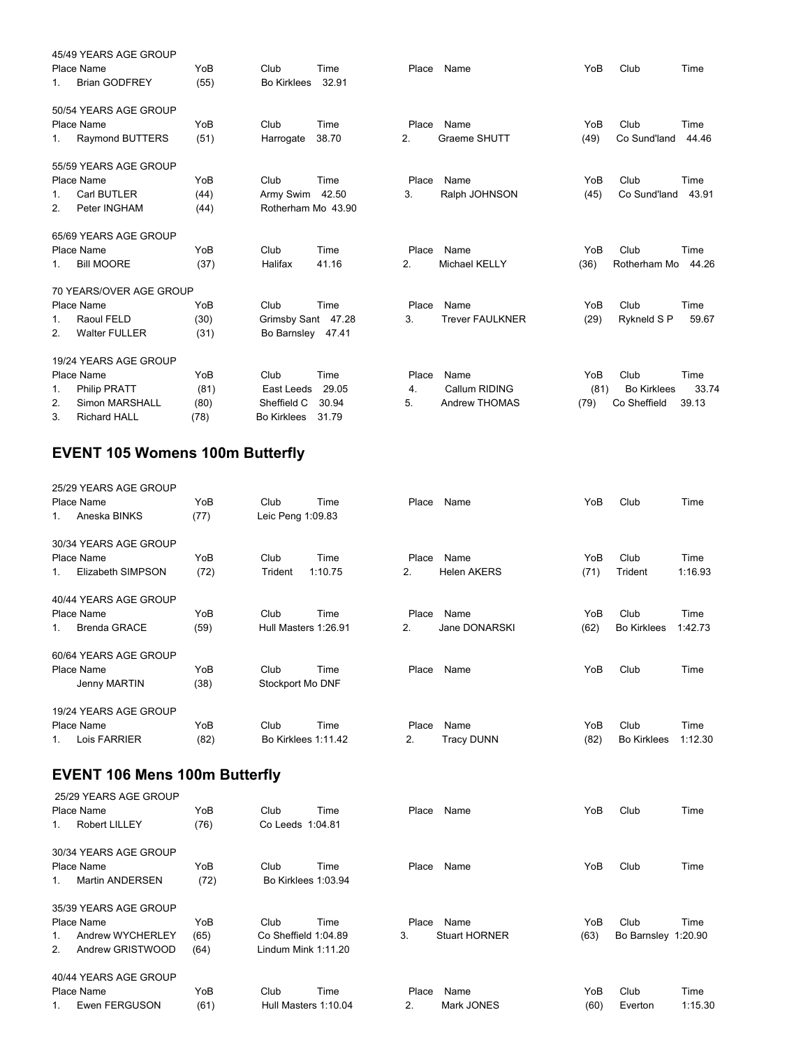|                | 45/49 YEARS AGE GROUP   |      |                    |       |       |                        |      |                    |       |
|----------------|-------------------------|------|--------------------|-------|-------|------------------------|------|--------------------|-------|
|                | Place Name              | YoB  | Club               | Time  | Place | Name                   | YoB  | Club               | Time  |
| $1_{-}$        | <b>Brian GODFREY</b>    | (55) | <b>Bo Kirklees</b> | 32.91 |       |                        |      |                    |       |
|                | 50/54 YEARS AGE GROUP   |      |                    |       |       |                        |      |                    |       |
|                | Place Name              | YoB  | Club               | Time  | Place | Name                   | YoB  | Club               | Time  |
| 1.             | <b>Raymond BUTTERS</b>  | (51) | Harrogate          | 38.70 | 2.    | Graeme SHUTT           | (49) | Co Sund'land       | 44.46 |
|                | 55/59 YEARS AGE GROUP   |      |                    |       |       |                        |      |                    |       |
|                | Place Name              | YoB  | Club               | Time  | Place | Name                   | YoB  | Club               | Time  |
| $1_{-}$        | Carl BUTLER             | (44) | Army Swim 42.50    |       | 3.    | Ralph JOHNSON          | (45) | Co Sund'land       | 43.91 |
| 2.             | Peter INGHAM            | (44) | Rotherham Mo 43.90 |       |       |                        |      |                    |       |
|                | 65/69 YEARS AGE GROUP   |      |                    |       |       |                        |      |                    |       |
|                | Place Name              | YoB  | Club               | Time  | Place | Name                   | YoB  | Club               | Time  |
| 1.             | <b>Bill MOORE</b>       | (37) | Halifax            | 41.16 | 2.    | <b>Michael KELLY</b>   | (36) | Rotherham Mo       | 44.26 |
|                | 70 YEARS/OVER AGE GROUP |      |                    |       |       |                        |      |                    |       |
|                | Place Name              | YoB  | Club               | Time  | Place | Name                   | YoB  | Club               | Time  |
| 1.             | Raoul FELD              | (30) | Grimsby Sant 47.28 |       | 3.    | <b>Trever FAULKNER</b> | (29) | Rykneld S P        | 59.67 |
| 2 <sub>1</sub> | <b>Walter FULLER</b>    | (31) | Bo Barnsley 47.41  |       |       |                        |      |                    |       |
|                | 19/24 YEARS AGE GROUP   |      |                    |       |       |                        |      |                    |       |
|                | Place Name              | YoB  | Club               | Time  | Place | Name                   | YoB  | Club               | Time  |
| 1.             | <b>Philip PRATT</b>     | (81) | East Leeds         | 29.05 | 4.    | Callum RIDING          | (81) | <b>Bo Kirklees</b> | 33.74 |
| 2.             | Simon MARSHALL          | (80) | Sheffield C        | 30.94 | 5.    | Andrew THOMAS          | (79) | Co Sheffield       | 39.13 |
| 3.             | <b>Richard HALL</b>     | (78) | <b>Bo Kirklees</b> | 31.79 |       |                        |      |                    |       |

# **EVENT 105 Womens 100m Butterfly**

| 25/29 YEARS AGE GROUP          |      |                      |         |                |                    |      |                    |         |
|--------------------------------|------|----------------------|---------|----------------|--------------------|------|--------------------|---------|
| Place Name                     | YoB  | Club                 | Time    | Place          | Name               | YoB  | Club               | Time    |
| Aneska BINKS<br>1.             | (77) | Leic Peng 1:09.83    |         |                |                    |      |                    |         |
| 30/34 YEARS AGE GROUP          |      |                      |         |                |                    |      |                    |         |
| Place Name                     | YoB  | Club                 | Time    | Place          | Name               | YoB  | Club               | Time    |
| Elizabeth SIMPSON<br>$1_{-}$   | (72) | Trident              | 1:10.75 | 2.             | <b>Helen AKERS</b> | (71) | Trident            | 1:16.93 |
| 40/44 YEARS AGE GROUP          |      |                      |         |                |                    |      |                    |         |
| Place Name                     | YoB  | Club                 | Time    | Place          | Name               | YoB  | Club               | Time    |
| <b>Brenda GRACE</b><br>$1_{-}$ | (59) | Hull Masters 1:26.91 |         | 2 <sub>1</sub> | Jane DONARSKI      | (62) | <b>Bo Kirklees</b> | 1:42.73 |
| 60/64 YEARS AGE GROUP          |      |                      |         |                |                    |      |                    |         |
| Place Name                     | YoB  | Club                 | Time    | Place          | Name               | YoB  | Club               | Time    |
| Jenny MARTIN                   | (38) | Stockport Mo DNF     |         |                |                    |      |                    |         |
| 19/24 YEARS AGE GROUP          |      |                      |         |                |                    |      |                    |         |
| Place Name                     | YoB  | Club                 | Time    | Place          | Name               | YoB  | Club               | Time    |
| Lois FARRIER<br>1.             | (82) | Bo Kirklees 1:11.42  |         | 2.             | <b>Tracy DUNN</b>  | (82) | <b>Bo Kirklees</b> | 1:12.30 |
|                                |      |                      |         |                |                    |      |                    |         |

# **EVENT 106 Mens 100m Butterfly**

| $1_{-}$        | 25/29 YEARS AGE GROUP<br>Place Name<br><b>Robert LILLEY</b> | YoB<br>(76) | Club<br>Co Leeds 1:04.81    | Time | Place | Name          | YoB  | Club                | Time    |
|----------------|-------------------------------------------------------------|-------------|-----------------------------|------|-------|---------------|------|---------------------|---------|
|                | 30/34 YEARS AGE GROUP                                       |             |                             |      |       |               |      |                     |         |
| $1_{\cdot}$    | Place Name<br>Martin ANDERSEN                               | YoB<br>(72) | Club<br>Bo Kirklees 1:03.94 | Time | Place | Name          | YoB  | Club                | Time    |
|                | 35/39 YEARS AGE GROUP                                       |             |                             |      |       |               |      |                     |         |
|                | Place Name                                                  | YoB         | Club                        | Time | Place | Name          | YoB  | Club                | Time    |
| $1_{-}$        | Andrew WYCHERLEY                                            | (65)        | Co Sheffield 1:04.89        |      | 3.    | Stuart HORNER | (63) | Bo Barnsley 1:20.90 |         |
| 2 <sub>1</sub> | Andrew GRISTWOOD                                            | (64)        | Lindum Mink 1:11.20         |      |       |               |      |                     |         |
|                | 40/44 YEARS AGE GROUP                                       |             |                             |      |       |               |      |                     |         |
|                | Place Name                                                  | YoB         | Club                        | Time | Place | Name          | YoB  | Club                | Time    |
| 1              | Ewen FERGUSON                                               | (61)        | Hull Masters 1:10.04        |      | 2.    | Mark JONES    | (60) | Everton             | 1:15.30 |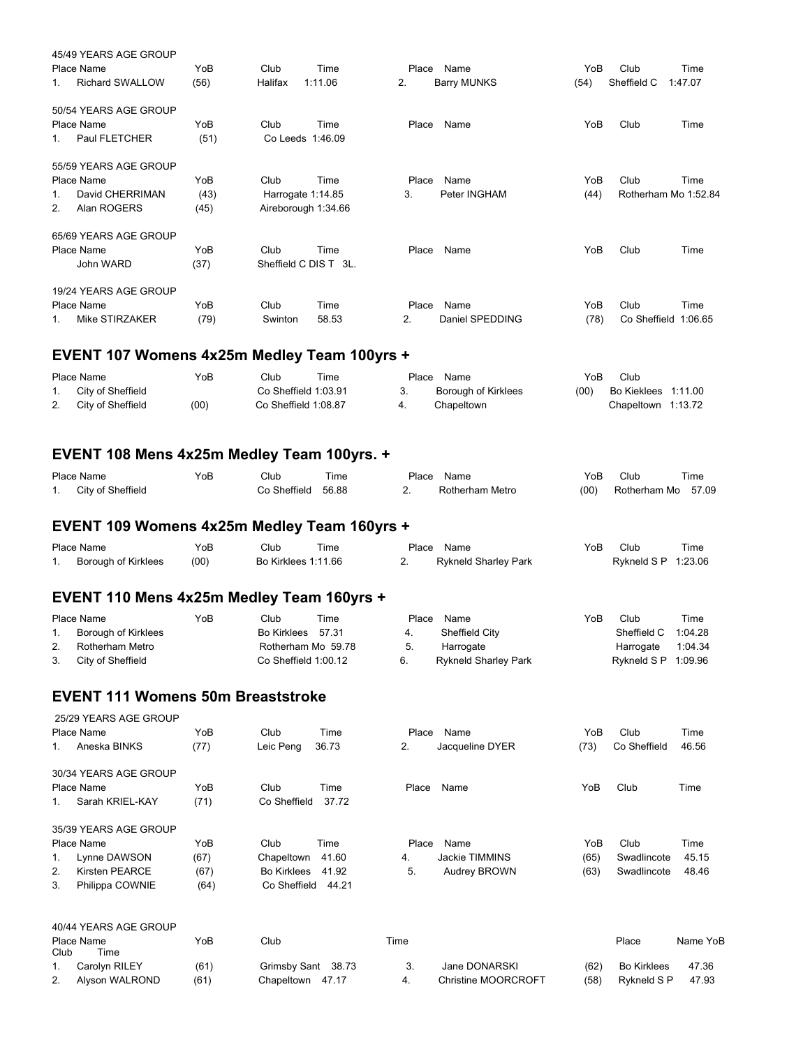|         | 45/49 YEARS AGE GROUP<br>Place Name | YoB  | Club                  | Time    | Place | Name               | YoB  | Club                 | Time    |
|---------|-------------------------------------|------|-----------------------|---------|-------|--------------------|------|----------------------|---------|
| $1_{-}$ | <b>Richard SWALLOW</b>              | (56) | Halifax               | 1:11.06 | 2.    | <b>Barry MUNKS</b> | (54) | Sheffield C          | 1:47.07 |
|         | 50/54 YEARS AGE GROUP               |      |                       |         |       |                    |      |                      |         |
|         | Place Name                          | YoB  | Club                  | Time    | Place | Name               | YoB  | Club                 | Time    |
| 1.      | Paul FLETCHER                       | (51) | Co Leeds 1:46.09      |         |       |                    |      |                      |         |
|         | 55/59 YEARS AGE GROUP               |      |                       |         |       |                    |      |                      |         |
|         | Place Name                          | YoB  | Club                  | Time    | Place | Name               | YoB  | Club                 | Time    |
| $1_{-}$ | David CHERRIMAN                     | (43) | Harrogate 1:14.85     |         | 3.    | Peter INGHAM       | (44) | Rotherham Mo 1:52.84 |         |
| 2.      | Alan ROGERS                         | (45) | Aireborough 1:34.66   |         |       |                    |      |                      |         |
|         | 65/69 YEARS AGE GROUP               |      |                       |         |       |                    |      |                      |         |
|         | Place Name                          | YoB  | Club                  | Time    | Place | Name               | YoB  | Club                 | Time    |
|         | John WARD                           | (37) | Sheffield C DIS T 3L. |         |       |                    |      |                      |         |
|         | 19/24 YEARS AGE GROUP               |      |                       |         |       |                    |      |                      |         |
|         | Place Name                          | YoB  | Club                  | Time    | Place | Name               | YoB  | Club                 | Time    |
| $1_{-}$ | Mike STIRZAKER                      | (79) | Swinton               | 58.53   | 2.    | Daniel SPEDDING    | (78) | Co Sheffield         | 1:06.65 |

# **EVENT 107 Womens 4x25m Medley Team 100yrs +**

| Place Name           | YoB  | Club                 | Time | Place | Name                       | YoB  | Club                |  |
|----------------------|------|----------------------|------|-------|----------------------------|------|---------------------|--|
| 1. City of Sheffield |      | Co Sheffield 1:03.91 |      |       | <b>Borough of Kirklees</b> | (00) | Bo Kieklees 1:11.00 |  |
| 2. City of Sheffield | (00) | Co Sheffield 1:08.87 |      |       | Chapeltown                 |      | Chapeltown 1:13.72  |  |

## **EVENT 108 Mens 4x25m Medley Team 100yrs. +**

|     | Place Name        | YoB | Club         | ⊺ime  | Place | Name            | YoE  | Club         | Time  |
|-----|-------------------|-----|--------------|-------|-------|-----------------|------|--------------|-------|
| . . | City of Sheffield |     | Co Sheffield | 56.88 |       | Rotherham Metro | (00) | Rotherham Mo | 57.09 |

## **EVENT 109 Womens 4x25m Medley Team 160yrs +**

| Place Name          | YoB  | Club                | Time | Place Name           | YoB | Club                | Time |
|---------------------|------|---------------------|------|----------------------|-----|---------------------|------|
| Borough of Kirklees | (00) | Bo Kirklees 1:11.66 |      | Rykneld Sharley Park |     | Rykneld S P 1:23.06 |      |

#### **EVENT 110 Mens 4x25m Medley Team 160yrs +**

|    | Place Name           | YoB | Club                   | Time | Place | Name                 | YoB | Club                 | Time    |
|----|----------------------|-----|------------------------|------|-------|----------------------|-----|----------------------|---------|
|    | Borough of Kirklees  |     | Bo Kirklees 57.31      |      | 4.    | Sheffield City       |     | Sheffield C 1:04.28  |         |
| 2. | Rotherham Metro      |     | Rotherham Mo 59.78     |      | -5.   | Harrogate            |     | Harrogate            | 1:04.34 |
|    | 3. City of Sheffield |     | $Co$ Sheffield 1:00.12 |      | б.    | Rykneld Sharley Park |     | Rykneld $SP$ 1:09.96 |         |

#### **EVENT 111 Womens 50m Breaststroke**

| 1.          | 25/29 YEARS AGE GROUP<br>Place Name<br>Aneska BINKS | YoB<br>(77) | Club<br>Leic Peng  | Time<br>36.73 | Place<br>2. | Name<br>Jacqueline DYER | YoB<br>(73) | Club<br>Co Sheffield | Time<br>46.56 |
|-------------|-----------------------------------------------------|-------------|--------------------|---------------|-------------|-------------------------|-------------|----------------------|---------------|
|             | 30/34 YEARS AGE GROUP                               |             |                    |               |             |                         |             |                      |               |
|             | Place Name                                          | YoB         | Club               | Time          | Place       | Name                    | YoB         | Club                 | Time          |
| $1_{\cdot}$ | Sarah KRIEL-KAY                                     | (71)        | Co Sheffield       | 37.72         |             |                         |             |                      |               |
|             | 35/39 YEARS AGE GROUP                               |             |                    |               |             |                         |             |                      |               |
|             | Place Name                                          | YoB         | Club               | Time          | Place       | Name                    | YoB         | Club                 | Time          |
| 1.          | Lynne DAWSON                                        | (67)        | Chapeltown         | 41.60         | 4.          | Jackie TIMMINS          | (65)        | Swadlincote          | 45.15         |
| 2.          | Kirsten PEARCE                                      | (67)        | <b>Bo Kirklees</b> | 41.92         | 5.          | <b>Audrey BROWN</b>     | (63)        | Swadlincote          | 48.46         |
| 3.          | Philippa COWNIE                                     | (64)        | Co Sheffield       | 44.21         |             |                         |             |                      |               |
|             | 40/44 YEARS AGE GROUP                               |             |                    |               |             |                         |             |                      |               |

| Club | Place Name<br>Time | YoB  | Club               | Time |                            |      | Place              | Name YoB |
|------|--------------------|------|--------------------|------|----------------------------|------|--------------------|----------|
|      | Carolyn RILEY      | (61) | Grimsby Sant 38.73 |      | Jane DONARSKI              | (62) | <b>Bo Kirklees</b> | 47.36    |
| 2.   | Alvson WALROND     | (61) | Chapeltown 47.17   |      | <b>Christine MOORCROFT</b> | (58) | Rykneld S P        | 47.93    |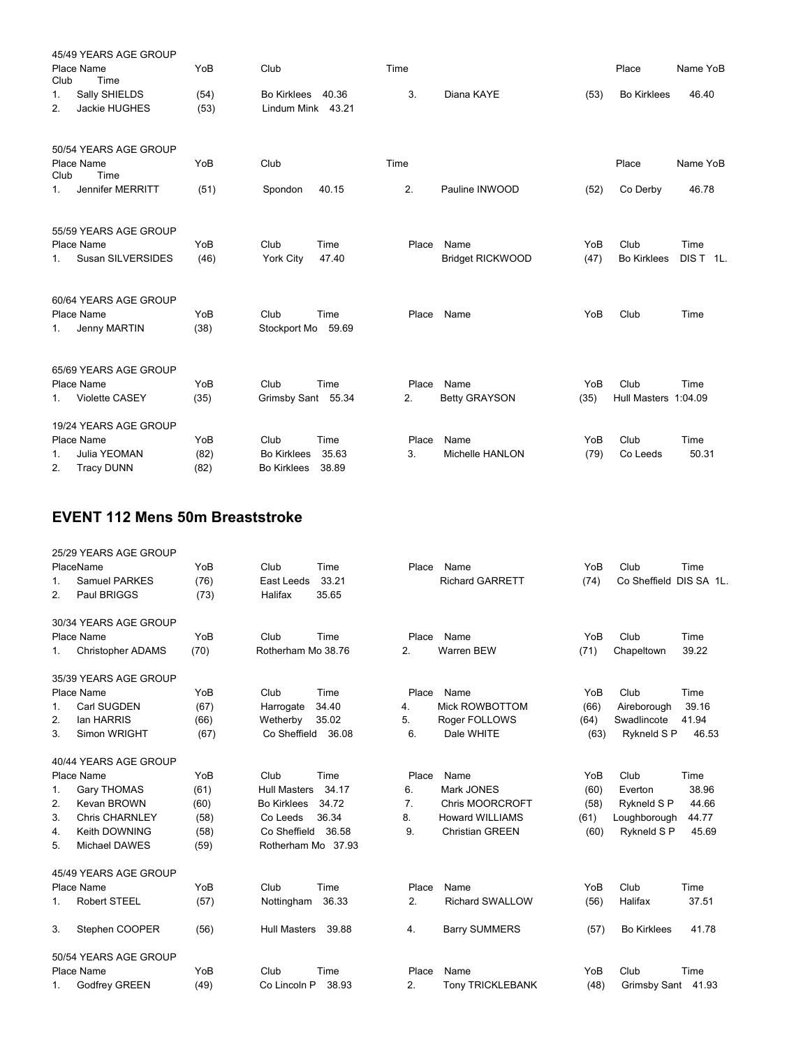|                | 45/49 YEARS AGE GROUP                                    |              |                                          |                |             |                                 |             |                              |                   |
|----------------|----------------------------------------------------------|--------------|------------------------------------------|----------------|-------------|---------------------------------|-------------|------------------------------|-------------------|
| Club           | Place Name<br>Time                                       | YoB          | Club                                     |                | Time        |                                 |             | Place                        | Name YoB          |
| 1.<br>2.       | Sally SHIELDS<br>Jackie HUGHES                           | (54)<br>(53) | <b>Bo Kirklees</b><br>Lindum Mink        | 40.36<br>43.21 | 3.          | Diana KAYE                      | (53)        | <b>Bo Kirklees</b>           | 46.40             |
|                | 50/54 YEARS AGE GROUP                                    |              |                                          |                |             |                                 |             |                              |                   |
| Club           | Place Name<br>Time                                       | YoB          | Club                                     |                | Time        |                                 |             | Place                        | Name YoB          |
| 1 <sub>1</sub> | Jennifer MERRITT                                         | (51)         | Spondon                                  | 40.15          | 2.          | Pauline INWOOD                  | (52)        | Co Derby                     | 46.78             |
| 1.             | 55/59 YEARS AGE GROUP<br>Place Name<br>Susan SILVERSIDES | YoB<br>(46)  | Club<br>York City                        | Time<br>47.40  | Place       | Name<br><b>Bridget RICKWOOD</b> | YoB<br>(47) | Club<br><b>Bo Kirklees</b>   | Time<br>DIS T 1L. |
| 1.             | 60/64 YEARS AGE GROUP<br>Place Name<br>Jenny MARTIN      | YoB<br>(38)  | Club<br>Stockport Mo                     | Time<br>59.69  | Place       | Name                            | YoB         | Club                         | Time              |
|                | 65/69 YEARS AGE GROUP                                    |              |                                          |                |             |                                 |             |                              |                   |
| 1.             | Place Name<br><b>Violette CASEY</b>                      | YoB<br>(35)  | Club<br>Grimsby Sant 55.34               | Time           | Place<br>2. | Name<br><b>Betty GRAYSON</b>    | YoB<br>(35) | Club<br>Hull Masters 1:04.09 | Time              |
|                | 19/24 YEARS AGE GROUP                                    |              |                                          |                |             |                                 |             |                              |                   |
|                | Place Name                                               | YoB          | Club                                     | Time           | Place       | Name                            | YoB         | Club                         | Time              |
| 1.<br>2.       | Julia YEOMAN<br><b>Tracy DUNN</b>                        | (82)<br>(82) | <b>Bo Kirklees</b><br><b>Bo Kirklees</b> | 35.63<br>38.89 | 3.          | Michelle HANLON                 | (79)        | Co Leeds                     | 50.31             |

## **EVENT 112 Mens 50m Breaststroke**

|    | 25/29 YEARS AGE GROUP    |      |                     |       |       |                         |      |                    |            |
|----|--------------------------|------|---------------------|-------|-------|-------------------------|------|--------------------|------------|
|    | PlaceName                | YoB  | Club                | Time  | Place | Name                    | YoB  | Club               | Time       |
| 1. | Samuel PARKES            | (76) | East Leeds          | 33.21 |       | <b>Richard GARRETT</b>  | (74) | Co Sheffield       | DIS SA 1L. |
| 2. | Paul BRIGGS              | (73) | Halifax             | 35.65 |       |                         |      |                    |            |
|    | 30/34 YEARS AGE GROUP    |      |                     |       |       |                         |      |                    |            |
|    | Place Name               | YoB  | Club                | Time  | Place | Name                    | YoB  | Club               | Time       |
| 1. | <b>Christopher ADAMS</b> | (70) | Rotherham Mo 38.76  |       | 2.    | <b>Warren BEW</b>       | (71) | Chapeltown         | 39.22      |
|    | 35/39 YEARS AGE GROUP    |      |                     |       |       |                         |      |                    |            |
|    | Place Name               | YoB  | Club                | Time  | Place | Name                    | YoB  | Club               | Time       |
| 1. | Carl SUGDEN              | (67) | Harrogate           | 34.40 | 4.    | Mick ROWBOTTOM          | (66) | Aireborough        | 39.16      |
| 2. | lan HARRIS               | (66) | Wetherby            | 35.02 | 5.    | Roger FOLLOWS           | (64) | Swadlincote        | 41.94      |
| 3. | Simon WRIGHT             | (67) | Co Sheffield        | 36.08 | 6.    | Dale WHITE              | (63) | Rykneld S P        | 46.53      |
|    | 40/44 YEARS AGE GROUP    |      |                     |       |       |                         |      |                    |            |
|    | Place Name               | YoB  | Club                | Time  | Place | Name                    | YoB  | Club               | Time       |
| 1. | <b>Gary THOMAS</b>       | (61) | <b>Hull Masters</b> | 34.17 | 6.    | Mark JONES              | (60) | Everton            | 38.96      |
| 2. | <b>Kevan BROWN</b>       | (60) | <b>Bo Kirklees</b>  | 34.72 | 7.    | <b>Chris MOORCROFT</b>  | (58) | Rykneld S P        | 44.66      |
| 3. | <b>Chris CHARNLEY</b>    | (58) | Co Leeds            | 36.34 | 8.    | <b>Howard WILLIAMS</b>  | (61) | Loughborough       | 44.77      |
| 4. | Keith DOWNING            | (58) | Co Sheffield        | 36.58 | 9.    | <b>Christian GREEN</b>  | (60) | Rykneld S P        | 45.69      |
| 5. | Michael DAWES            | (59) | Rotherham Mo 37.93  |       |       |                         |      |                    |            |
|    | 45/49 YEARS AGE GROUP    |      |                     |       |       |                         |      |                    |            |
|    | Place Name               | YoB  | Club                | Time  | Place | Name                    | YoB  | Club               | Time       |
| 1. | Robert STEEL             | (57) | Nottingham          | 36.33 | 2.    | <b>Richard SWALLOW</b>  | (56) | Halifax            | 37.51      |
| 3. | Stephen COOPER           | (56) | <b>Hull Masters</b> | 39.88 | 4.    | <b>Barry SUMMERS</b>    | (57) | <b>Bo Kirklees</b> | 41.78      |
|    | 50/54 YEARS AGE GROUP    |      |                     |       |       |                         |      |                    |            |
|    | Place Name               | YoB  | Club                | Time  | Place | Name                    | YoB  | Club               | Time       |
| 1. | Godfrey GREEN            | (49) | Co Lincoln P        | 38.93 | 2.    | <b>Tony TRICKLEBANK</b> | (48) | Grimsby Sant 41.93 |            |
|    |                          |      |                     |       |       |                         |      |                    |            |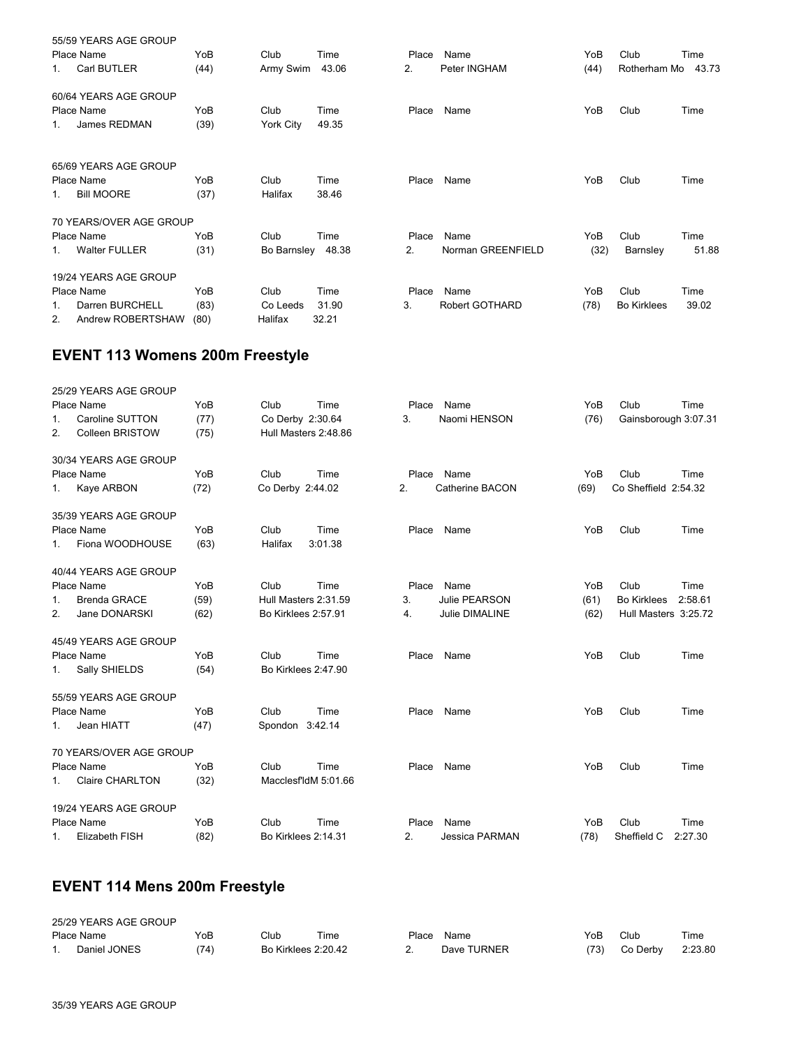|         | 55/59 YEARS AGE GROUP   |      |                   |       |       |                   |      |                    |       |
|---------|-------------------------|------|-------------------|-------|-------|-------------------|------|--------------------|-------|
|         | Place Name              | YoB  | Club              | Time  | Place | Name              | YoB  | Club               | Time  |
| 1.      | Carl BUTLER             | (44) | Army Swim         | 43.06 | 2.    | Peter INGHAM      | (44) | Rotherham Mo       | 43.73 |
|         | 60/64 YEARS AGE GROUP   |      |                   |       |       |                   |      |                    |       |
|         | Place Name              | YoB  | Club              | Time  | Place | Name              | YoB  | Club               | Time  |
| $1_{-}$ | James REDMAN            | (39) | York City         | 49.35 |       |                   |      |                    |       |
|         | 65/69 YEARS AGE GROUP   |      |                   |       |       |                   |      |                    |       |
|         | Place Name              | YoB  | Club              | Time  | Place | Name              | YoB  | Club               | Time  |
| $1_{-}$ | <b>Bill MOORE</b>       | (37) | Halifax           | 38.46 |       |                   |      |                    |       |
|         | 70 YEARS/OVER AGE GROUP |      |                   |       |       |                   |      |                    |       |
|         | Place Name              | YoB  | Club              | Time  | Place | Name              | YoB  | Club               | Time  |
| 1.      | <b>Walter FULLER</b>    | (31) | Bo Barnsley 48.38 |       | 2.    | Norman GREENFIELD | (32) | Barnsley           | 51.88 |
|         | 19/24 YEARS AGE GROUP   |      |                   |       |       |                   |      |                    |       |
|         | Place Name              | YoB  | Club              | Time  | Place | Name              | YoB  | Club               | Time  |
| 1.      | Darren BURCHELL         | (83) | Co Leeds          | 31.90 | 3.    | Robert GOTHARD    | (78) | <b>Bo Kirklees</b> | 39.02 |
| 2.      | Andrew ROBERTSHAW       | (80) | Halifax           | 32.21 |       |                   |      |                    |       |
|         |                         |      |                   |       |       |                   |      |                    |       |

# **EVENT 113 Womens 200m Freestyle**

| 25/29 YEARS AGE GROUP          |      |                      |                      |       |                 |      |                      |         |
|--------------------------------|------|----------------------|----------------------|-------|-----------------|------|----------------------|---------|
| Place Name                     | YoB  | Club                 | Time                 | Place | Name            | YoB  | Club                 | Time    |
| Caroline SUTTON<br>1.          | (77) | Co Derby 2:30.64     |                      | 3.    | Naomi HENSON    | (76) | Gainsborough 3:07.31 |         |
| <b>Colleen BRISTOW</b><br>2.   | (75) |                      | Hull Masters 2:48.86 |       |                 |      |                      |         |
| 30/34 YEARS AGE GROUP          |      |                      |                      |       |                 |      |                      |         |
| Place Name                     | YoB  | Club                 | Time                 | Place | Name            | YoB  | Club                 | Time    |
| Kaye ARBON<br>1.               | (72) | Co Derby 2:44.02     |                      | 2.    | Catherine BACON | (69) | Co Sheffield 2:54.32 |         |
| 35/39 YEARS AGE GROUP          |      |                      |                      |       |                 |      |                      |         |
| Place Name                     | YoB  | Club                 | Time                 | Place | Name            | YoB  | Club                 | Time    |
| Fiona WOODHOUSE<br>1.          | (63) | Halifax              | 3:01.38              |       |                 |      |                      |         |
| 40/44 YEARS AGE GROUP          |      |                      |                      |       |                 |      |                      |         |
| Place Name                     | YoB  | Club                 | Time                 | Place | Name            | YoB  | Club                 | Time    |
| <b>Brenda GRACE</b><br>$1_{-}$ | (59) | Hull Masters 2:31.59 |                      | 3.    | Julie PEARSON   | (61) | <b>Bo Kirklees</b>   | 2:58.61 |
| Jane DONARSKI<br>2.            | (62) | Bo Kirklees 2:57.91  |                      | 4.    | Julie DIMALINE  | (62) | Hull Masters 3:25.72 |         |
| 45/49 YEARS AGE GROUP          |      |                      |                      |       |                 |      |                      |         |
| Place Name                     | YoB  | Club                 | Time                 | Place | Name            | YoB  | Club                 | Time    |
| Sally SHIELDS<br>1.            | (54) | Bo Kirklees 2:47.90  |                      |       |                 |      |                      |         |
| 55/59 YEARS AGE GROUP          |      |                      |                      |       |                 |      |                      |         |
| Place Name                     | YoB  | Club                 | Time                 | Place | Name            | YoB  | Club                 | Time    |
| Jean HIATT<br>1.               | (47) | Spondon 3:42.14      |                      |       |                 |      |                      |         |
| 70 YEARS/OVER AGE GROUP        |      |                      |                      |       |                 |      |                      |         |
| Place Name                     | YoB  | Club                 | Time                 | Place | Name            | YoB  | Club                 | Time    |
| <b>Claire CHARLTON</b><br>1.   | (32) |                      | MacclesfldM 5:01.66  |       |                 |      |                      |         |
| 19/24 YEARS AGE GROUP          |      |                      |                      |       |                 |      |                      |         |
| Place Name                     | YoB  | Club                 | Time                 | Place | Name            | YoB  | Club                 | Time    |
| Elizabeth FISH<br>1.           | (82) | Bo Kirklees 2:14.31  |                      | 2.    | Jessica PARMAN  | (78) | Sheffield C          | 2:27.30 |
|                                |      |                      |                      |       |                 |      |                      |         |

# **EVENT 114 Mens 200m Freestyle**

| 25/29 YEARS AGE GROUP |      |                     |      |       |             |      |          |         |
|-----------------------|------|---------------------|------|-------|-------------|------|----------|---------|
| Place Name            | YoB  | Club                | Time | Place | Name        | YoB  | Club     | Time    |
| Daniel JONES          | (74) | Bo Kirklees 2:20.42 |      |       | Dave TURNER | (73) | Co Derby | 2:23.80 |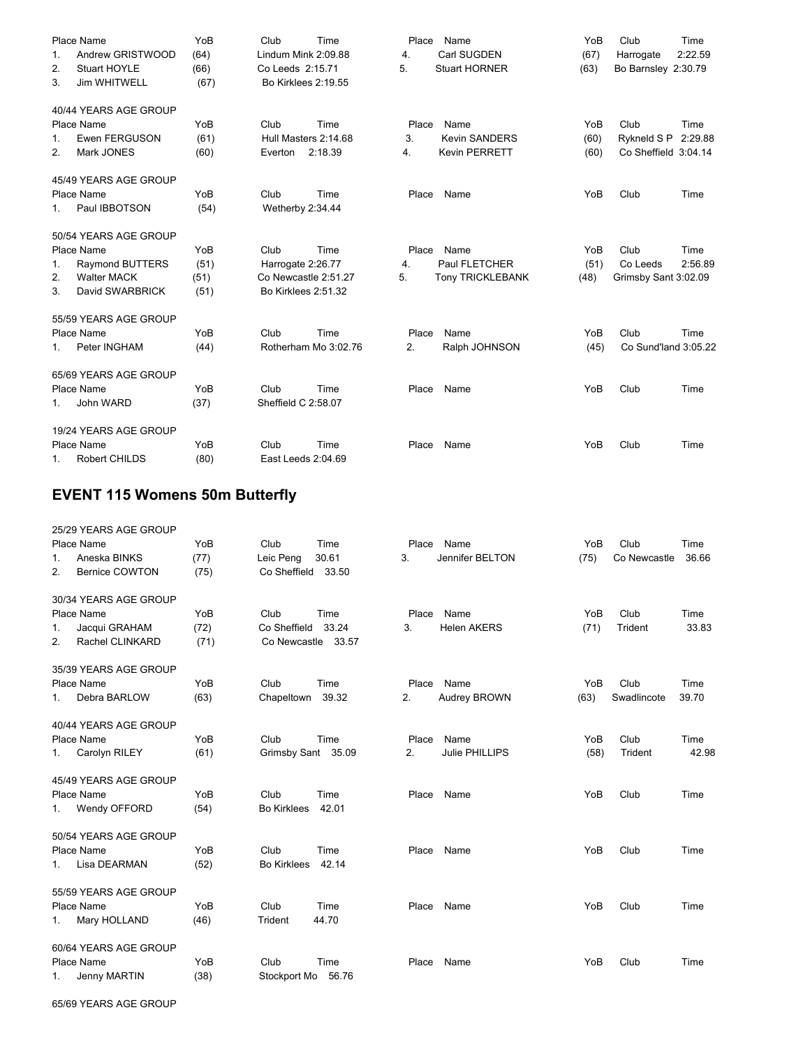| 1.<br>2.<br>3. | Place Name<br>Andrew GRISTWOOD<br>Stuart HOYLE<br>Jim WHITWELL | YoB<br>(64)<br>(66)<br>(67) | Club<br>Lindum Mink 2:09.88<br>Co Leeds 2:15.71<br>Bo Kirklees 2:19.55 | Time    | Place<br>$\overline{4}$ .<br>5. | Name<br>Carl SUGDEN<br><b>Stuart HORNER</b> | YoB<br>(67)<br>(63) | Club<br>Harrogate<br>Bo Barnsley 2:30.79 | Time<br>2:22.59 |
|----------------|----------------------------------------------------------------|-----------------------------|------------------------------------------------------------------------|---------|---------------------------------|---------------------------------------------|---------------------|------------------------------------------|-----------------|
|                | 40/44 YEARS AGE GROUP                                          |                             |                                                                        |         |                                 |                                             |                     |                                          |                 |
|                | Place Name                                                     | YoB                         | Club                                                                   | Time    | Place                           | Name                                        | YoB                 | Club                                     | Time            |
| 1.<br>2.       | <b>Ewen FERGUSON</b><br>Mark JONES                             | (61)<br>(60)                | Hull Masters 2:14.68<br>Everton                                        | 2:18.39 | 3.<br>4.                        | <b>Kevin SANDERS</b><br>Kevin PERRETT       | (60)<br>(60)        | Rykneld S P<br>Co Sheffield 3:04.14      | 2:29.88         |
| 1.             | 45/49 YEARS AGE GROUP<br>Place Name<br>Paul IBBOTSON           | YoB<br>(54)                 | Club<br>Wetherby 2:34.44                                               | Time    | Place                           | Name                                        | YoB                 | Club                                     | Time            |
|                | 50/54 YEARS AGE GROUP                                          |                             |                                                                        |         |                                 |                                             |                     |                                          |                 |
|                | Place Name                                                     | YoB                         | Club                                                                   | Time    | Place                           | Name                                        | YoB                 | Club                                     | Time            |
| 1.             | Raymond BUTTERS                                                | (51)                        | Harrogate 2:26.77                                                      |         | 4.                              | Paul FLETCHER                               | (51)                | Co Leeds                                 | 2:56.89         |
| 2.             | <b>Walter MACK</b>                                             | (51)                        | Co Newcastle 2:51.27                                                   |         | 5.                              | <b>Tony TRICKLEBANK</b>                     | (48)                | Grimsby Sant 3:02.09                     |                 |
| 3.             | David SWARBRICK                                                | (51)                        | Bo Kirklees 2:51.32                                                    |         |                                 |                                             |                     |                                          |                 |
|                | 55/59 YEARS AGE GROUP                                          |                             |                                                                        |         |                                 |                                             |                     |                                          |                 |
|                | Place Name                                                     | YoB                         | Club                                                                   | Time    | Place                           | Name                                        | YoB                 | Club                                     | Time            |
| 1.             | Peter INGHAM                                                   | (44)                        | Rotherham Mo 3:02.76                                                   |         | 2.                              | Ralph JOHNSON                               | (45)                | Co Sund'land 3:05.22                     |                 |
|                | 65/69 YEARS AGE GROUP                                          |                             |                                                                        |         |                                 |                                             |                     |                                          |                 |
|                | Place Name                                                     | YoB                         | Club                                                                   | Time    | Place                           | Name                                        | YoB                 | Club                                     | Time            |
| 1.             | John WARD                                                      | (37)                        | Sheffield C 2:58.07                                                    |         |                                 |                                             |                     |                                          |                 |
|                | 19/24 YEARS AGE GROUP                                          |                             |                                                                        |         |                                 |                                             |                     |                                          |                 |
|                | Place Name                                                     | YoB                         | Club                                                                   | Time    | Place                           | Name                                        | YoB                 | Club                                     | Time            |
| 1.             | Robert CHILDS                                                  | (80)                        | East Leeds 2:04.69                                                     |         |                                 |                                             |                     |                                          |                 |

# **EVENT 115 Womens 50m Butterfly**

|         | 25/29 YEARS AGE GROUP |      |                    |       |       |                    |      |              |       |
|---------|-----------------------|------|--------------------|-------|-------|--------------------|------|--------------|-------|
|         | Place Name            | YoB  | Club               | Time  | Place | Name               | YoB  | Club         | Time  |
| 1.      | Aneska BINKS          | (77) | Leic Peng          | 30.61 | 3.    | Jennifer BELTON    | (75) | Co Newcastle | 36.66 |
| 2.      | <b>Bernice COWTON</b> | (75) | Co Sheffield 33.50 |       |       |                    |      |              |       |
|         | 30/34 YEARS AGE GROUP |      |                    |       |       |                    |      |              |       |
|         | Place Name            | YoB  | Club               | Time  | Place | Name               | YoB  | Club         | Time  |
| 1.      | Jacqui GRAHAM         | (72) | Co Sheffield       | 33.24 | 3.    | <b>Helen AKERS</b> | (71) | Trident      | 33.83 |
| 2.      | Rachel CLINKARD       | (71) | Co Newcastle 33.57 |       |       |                    |      |              |       |
|         | 35/39 YEARS AGE GROUP |      |                    |       |       |                    |      |              |       |
|         | Place Name            | YoB  | Club               | Time  | Place | Name               | YoB  | Club         | Time  |
| $1_{-}$ | Debra BARLOW          | (63) | Chapeltown         | 39.32 | 2.    | Audrey BROWN       | (63) | Swadlincote  | 39.70 |
|         | 40/44 YEARS AGE GROUP |      |                    |       |       |                    |      |              |       |
|         | Place Name            | YoB  | Club               | Time  | Place | Name               | YoB  | Club         | Time  |
| 1.      | Carolyn RILEY         | (61) | Grimsby Sant 35.09 |       | 2.    | Julie PHILLIPS     | (58) | Trident      | 42.98 |
|         | 45/49 YEARS AGE GROUP |      |                    |       |       |                    |      |              |       |
|         | Place Name            | YoB  | Club               | Time  | Place | Name               | YoB  | Club         | Time  |
| 1.      | Wendy OFFORD          | (54) | <b>Bo Kirklees</b> | 42.01 |       |                    |      |              |       |
|         | 50/54 YEARS AGE GROUP |      |                    |       |       |                    |      |              |       |
|         | Place Name            | YoB  | Club               | Time  | Place | Name               | YoB  | Club         | Time  |
| 1.      | Lisa DEARMAN          | (52) | <b>Bo Kirklees</b> | 42.14 |       |                    |      |              |       |
|         | 55/59 YEARS AGE GROUP |      |                    |       |       |                    |      |              |       |
|         | Place Name            | YoB  | Club               | Time  | Place | Name               | YoB  | Club         | Time  |
| 1.      | Mary HOLLAND          | (46) | Trident            | 44.70 |       |                    |      |              |       |
|         | 60/64 YEARS AGE GROUP |      |                    |       |       |                    |      |              |       |
|         | Place Name            | YoB  | Club               | Time  | Place | Name               | YoB  | Club         | Time  |
| 1.      | Jenny MARTIN          | (38) | Stockport Mo 56.76 |       |       |                    |      |              |       |
|         |                       |      |                    |       |       |                    |      |              |       |

65/69 YEARS AGE GROUP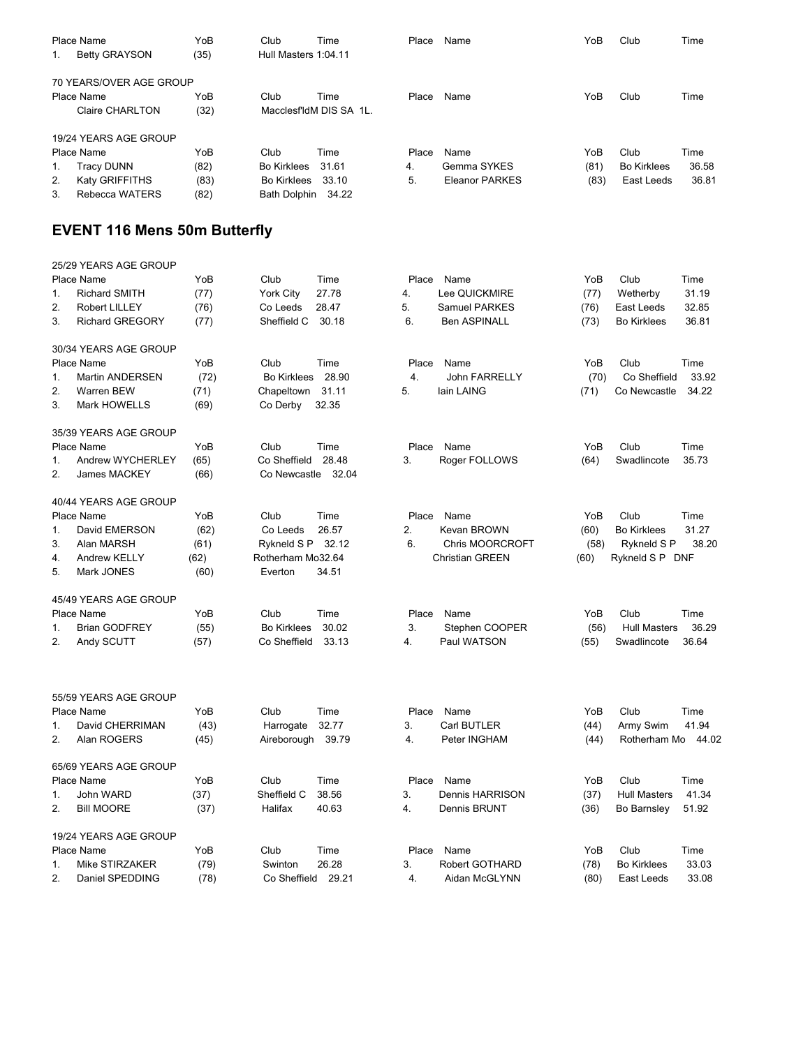|    | Place Name                                        | YoB  | Club                 | Time  | Place | Name           | YoB  | Club               | Time  |
|----|---------------------------------------------------|------|----------------------|-------|-------|----------------|------|--------------------|-------|
|    | <b>Betty GRAYSON</b>                              | (35) | Hull Masters 1:04.11 |       |       |                |      |                    |       |
|    | 70 YEARS/OVER AGE GROUP                           |      |                      |       |       |                |      |                    |       |
|    | Place Name                                        | YoB  | Club                 | Time  | Place | Name           | YoB  | Club               | Time  |
|    | (32)<br>MacclesfldM DIS SA 1L.<br>Claire CHARLTON |      |                      |       |       |                |      |                    |       |
|    | 19/24 YEARS AGE GROUP                             |      |                      |       |       |                |      |                    |       |
|    | Place Name                                        | YoB  | Club                 | Time  | Place | Name           | YoB  | Club               | Time  |
| 1. | Tracy DUNN                                        | (82) | <b>Bo Kirklees</b>   | 31.61 | 4.    | Gemma SYKES    | (81) | <b>Bo Kirklees</b> | 36.58 |
| 2. | Katy GRIFFITHS                                    | (83) | <b>Bo Kirklees</b>   | 33.10 | 5.    | Eleanor PARKES | (83) | East Leeds         | 36.81 |
| 3. | Rebecca WATERS                                    | (82) | <b>Bath Dolphin</b>  | 34.22 |       |                |      |                    |       |

# **EVENT 116 Mens 50m Butterfly**

|               | 25/29 YEARS AGE GROUP  |      |                             |                              |      |                              |
|---------------|------------------------|------|-----------------------------|------------------------------|------|------------------------------|
|               | Place Name             | YoB  | Club<br>Time                | Place<br>Name                | YoB  | Club<br>Time                 |
| 1.            | <b>Richard SMITH</b>   | (77) | York City<br>27.78          | Lee QUICKMIRE<br>4.          | (77) | 31.19<br>Wetherby            |
| 2.            | Robert LILLEY          | (76) | 28.47<br>Co Leeds           | 5.<br>Samuel PARKES          | (76) | 32.85<br>East Leeds          |
| 3.            | <b>Richard GREGORY</b> | (77) | Sheffield C<br>30.18        | <b>Ben ASPINALL</b><br>6.    | (73) | <b>Bo Kirklees</b><br>36.81  |
|               | 30/34 YEARS AGE GROUP  |      |                             |                              |      |                              |
|               | Place Name             | YoB  | Time<br>Club                | Place<br>Name                | YoB  | Club<br>Time                 |
| 1.            | Martin ANDERSEN        | (72) | <b>Bo Kirklees</b><br>28.90 | 4.<br><b>John FARRELLY</b>   | (70) | Co Sheffield<br>33.92        |
| 2.            | Warren BEW             | (71) | Chapeltown<br>31.11         | 5.<br>lain LAING             | (71) | Co Newcastle<br>34.22        |
| 3.            | Mark HOWELLS           | (69) | Co Derby<br>32.35           |                              |      |                              |
|               | 35/39 YEARS AGE GROUP  |      |                             |                              |      |                              |
|               | Place Name             | YoB  | Club<br>Time                | Place<br>Name                | YoB  | Club<br>Time                 |
| 1.            | Andrew WYCHERLEY       | (65) | Co Sheffield<br>28.48       | 3.<br>Roger FOLLOWS          | (64) | 35.73<br>Swadlincote         |
| 2.            | <b>James MACKEY</b>    | (66) | Co Newcastle 32.04          |                              |      |                              |
|               | 40/44 YEARS AGE GROUP  |      |                             |                              |      |                              |
|               | Place Name             | YoB  | Club<br>Time                | Place<br>Name                | YoB  | Club<br>Time                 |
| $\mathbf 1$ . | David EMERSON          | (62) | Co Leeds<br>26.57           | 2.<br><b>Kevan BROWN</b>     | (60) | <b>Bo Kirklees</b><br>31.27  |
| 3.            | Alan MARSH             | (61) | Rykneld S P<br>32.12        | 6.<br><b>Chris MOORCROFT</b> | (58) | Rykneld S P<br>38.20         |
| 4.            | <b>Andrew KELLY</b>    | (62) | Rotherham Mo32.64           | <b>Christian GREEN</b>       | (60) | Rykneld S P DNF              |
| 5.            | Mark JONES             | (60) | 34.51<br>Everton            |                              |      |                              |
|               | 45/49 YEARS AGE GROUP  |      |                             |                              |      |                              |
|               | <b>Place Name</b>      | YoB  | Club<br>Time                | Place<br>Name                | YoB  | Club<br>Time                 |
| 1.            | <b>Brian GODFREY</b>   | (55) | <b>Bo Kirklees</b><br>30.02 | 3.<br>Stephen COOPER         | (56) | 36.29<br><b>Hull Masters</b> |
| 2.            | Andy SCUTT             | (57) | Co Sheffield<br>33.13       | 4.<br>Paul WATSON            | (55) | Swadlincote<br>36.64         |
|               |                        |      |                             |                              |      |                              |
|               | 55/59 YEARS AGE GROUP  |      |                             |                              |      |                              |
|               | Place Name             | YoB  | Club<br>Time                | Place<br>Name                | YoB  | Club<br>Time                 |
| 1.            | David CHERRIMAN        | (43) | Harrogate<br>32.77          | 3.<br>Carl BUTLER            | (44) | 41.94<br>Army Swim           |
| 2.            | Alan ROGERS            | (45) | 39.79<br>Aireborough        | 4.<br>Peter INGHAM           | (44) | Rotherham Mo 44.02           |
|               | 65/69 YEARS AGE GROUP  |      |                             |                              |      |                              |
|               | Place Name             | YoB  | Club<br>Time                | Place<br>Name                | YoB  | Club<br>Time                 |
| 1.            | John WARD              | (37) | Sheffield C<br>38.56        | 3.<br>Dennis HARRISON        | (37) | <b>Hull Masters</b><br>41.34 |
| 2.            | <b>Bill MOORE</b>      | (37) | Halifax<br>40.63            | 4.<br>Dennis BRUNT           | (36) | Bo Barnsley<br>51.92         |
|               | 19/24 YEARS AGE GROUP  |      |                             |                              |      |                              |
|               | Place Name             | YoB  | Club<br>Time                | Place<br>Name                | YoB  | Club<br>Time                 |
| 1.            | Mike STIRZAKER         | (79) | 26.28<br>Swinton            | 3.<br><b>Robert GOTHARD</b>  | (78) | <b>Bo Kirklees</b><br>33.03  |
| 2.            | Daniel SPEDDING        | (78) | Co Sheffield<br>29.21       | 4.<br>Aidan McGLYNN          | (80) | 33.08<br>East Leeds          |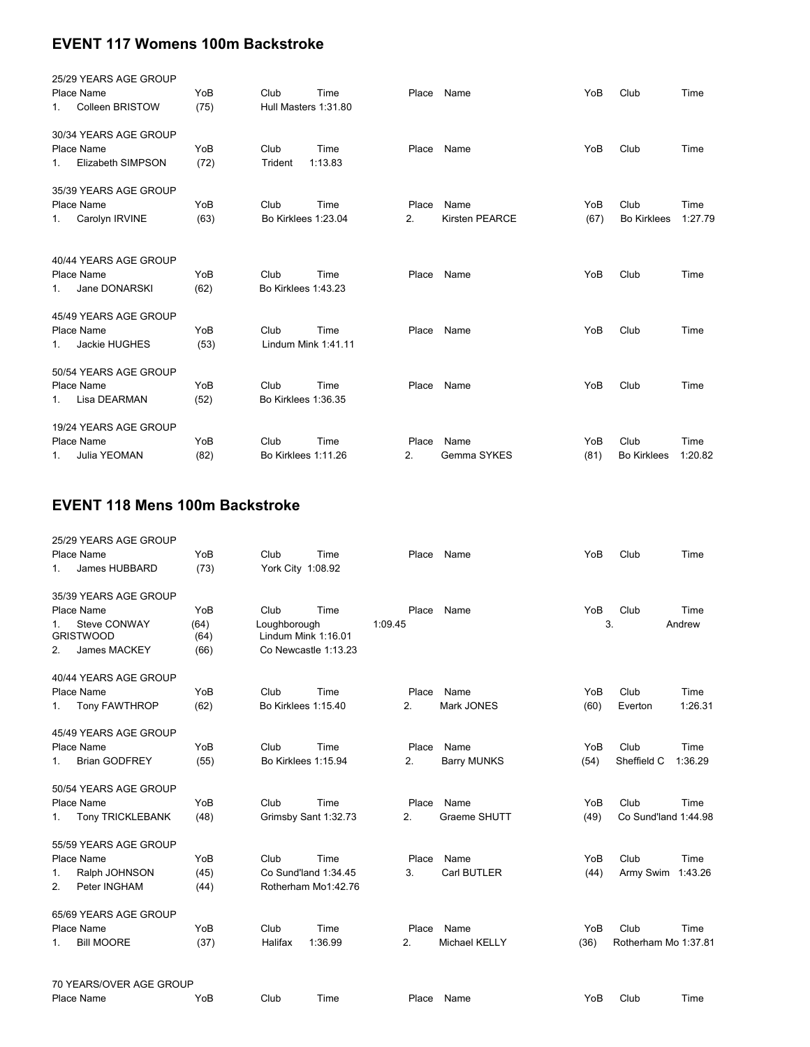## **EVENT 117 Womens 100m Backstroke**

| 25/29 YEARS AGE GROUP               |      |                      |         |       |                       |      |                    |         |
|-------------------------------------|------|----------------------|---------|-------|-----------------------|------|--------------------|---------|
| Place Name                          | YoB  | Club                 | Time    | Place | Name                  | YoB  | Club               | Time    |
| <b>Colleen BRISTOW</b><br>1.        | (75) | Hull Masters 1:31.80 |         |       |                       |      |                    |         |
| 30/34 YEARS AGE GROUP               |      |                      |         |       |                       |      |                    |         |
| Place Name                          | YoB  | Club                 | Time    | Place | Name                  | YoB  | Club               | Time    |
| <b>Elizabeth SIMPSON</b><br>$1_{-}$ | (72) | Trident              | 1:13.83 |       |                       |      |                    |         |
| 35/39 YEARS AGE GROUP               |      |                      |         |       |                       |      |                    |         |
| Place Name                          | YoB  | Club                 | Time    | Place | Name                  | YoB  | Club               | Time    |
| Carolyn IRVINE<br>1.                | (63) | Bo Kirklees 1:23.04  |         | 2.    | <b>Kirsten PEARCE</b> | (67) | <b>Bo Kirklees</b> | 1:27.79 |
|                                     |      |                      |         |       |                       |      |                    |         |
| 40/44 YEARS AGE GROUP               |      |                      |         |       |                       |      |                    |         |
| Place Name                          | YoB  | Club                 | Time    | Place | Name                  | YoB  | Club               | Time    |
| Jane DONARSKI<br>$1_{-}$            | (62) | Bo Kirklees 1:43.23  |         |       |                       |      |                    |         |
| 45/49 YEARS AGE GROUP               |      |                      |         |       |                       |      |                    |         |
| Place Name                          | YoB  | Club                 | Time    | Place | Name                  | YoB  | Club               | Time    |
| Jackie HUGHES<br>1.                 | (53) | Lindum Mink 1:41.11  |         |       |                       |      |                    |         |
| 50/54 YEARS AGE GROUP               |      |                      |         |       |                       |      |                    |         |
| Place Name                          | YoB  | Club                 | Time    | Place | Name                  | YoB  | Club               | Time    |
| Lisa DEARMAN<br>1.                  | (52) | Bo Kirklees 1:36.35  |         |       |                       |      |                    |         |
|                                     |      |                      |         |       |                       |      |                    |         |
| 19/24 YEARS AGE GROUP               |      |                      |         |       |                       |      |                    |         |
| Place Name                          | YoB  | Club                 | Time    | Place | Name                  | YoB  | Club               | Time    |
| Julia YEOMAN<br>1.                  | (82) | Bo Kirklees 1:11.26  |         | 2.    | Gemma SYKES           | (81) | <b>Bo Kirklees</b> | 1:20.82 |

### **EVENT 118 Mens 100m Backstroke**

| 25/29 YEARS AGE GROUP                  |              |                                     |                      |         |                    |      |                      |         |
|----------------------------------------|--------------|-------------------------------------|----------------------|---------|--------------------|------|----------------------|---------|
| Place Name                             | YoB          | Club                                | Time                 | Place   | Name               | YoB  | Club                 | Time    |
| James HUBBARD<br>1.                    | (73)         | York City 1:08.92                   |                      |         |                    |      |                      |         |
| 35/39 YEARS AGE GROUP                  |              |                                     |                      |         |                    |      |                      |         |
| Place Name                             | YoB          | Club                                | Time                 | Place   | Name               | YoB  | Club                 | Time    |
| Steve CONWAY<br>1.<br><b>GRISTWOOD</b> | (64)<br>(64) | Loughborough<br>Lindum Mink 1:16.01 |                      | 1:09.45 |                    | 3.   |                      | Andrew  |
| James MACKEY<br>2.                     | (66)         |                                     | Co Newcastle 1:13.23 |         |                    |      |                      |         |
| 40/44 YEARS AGE GROUP                  |              |                                     |                      |         |                    |      |                      |         |
| Place Name                             | YoB          | Club                                | Time                 | Place   | Name               | YoB  | Club                 | Time    |
| <b>Tony FAWTHROP</b><br>1.             | (62)         | Bo Kirklees 1:15.40                 |                      | 2.      | Mark JONES         | (60) | Everton              | 1:26.31 |
| 45/49 YEARS AGE GROUP                  |              |                                     |                      |         |                    |      |                      |         |
| Place Name                             | YoB          | Club                                | Time                 | Place   | Name               | YoB  | Club                 | Time    |
| <b>Brian GODFREY</b><br>1.             | (55)         | Bo Kirklees 1:15.94                 |                      | 2.      | <b>Barry MUNKS</b> | (54) | Sheffield C          | 1:36.29 |
| 50/54 YEARS AGE GROUP                  |              |                                     |                      |         |                    |      |                      |         |
| Place Name                             | YoB          | Club                                | Time                 | Place   | Name               | YoB  | Club                 | Time    |
| <b>Tony TRICKLEBANK</b><br>1.          | (48)         |                                     | Grimsby Sant 1:32.73 | 2.      | Graeme SHUTT       | (49) | Co Sund'land 1:44.98 |         |
| 55/59 YEARS AGE GROUP                  |              |                                     |                      |         |                    |      |                      |         |
| Place Name                             | YoB          | Club                                | Time                 | Place   | Name               | YoB  | Club                 | Time    |
| Ralph JOHNSON<br>1.                    | (45)         |                                     | Co Sund'land 1:34.45 | 3.      | Carl BUTLER        | (44) | Army Swim 1:43.26    |         |
| Peter INGHAM<br>2.                     | (44)         |                                     | Rotherham Mo1:42.76  |         |                    |      |                      |         |
| 65/69 YEARS AGE GROUP                  |              |                                     |                      |         |                    |      |                      |         |
| Place Name                             | YoB          | Club                                | Time                 | Place   | Name               | YoB  | Club                 | Time    |
| <b>Bill MOORE</b><br>1.                | (37)         | Halifax                             | 1:36.99              | 2.      | Michael KELLY      | (36) | Rotherham Mo 1:37.81 |         |
| 70 YEARS/OVER AGE GROUP                |              |                                     |                      |         |                    |      |                      |         |
|                                        |              |                                     |                      |         |                    |      |                      |         |

Place Name YoB Club Time Place Name YoB Club Time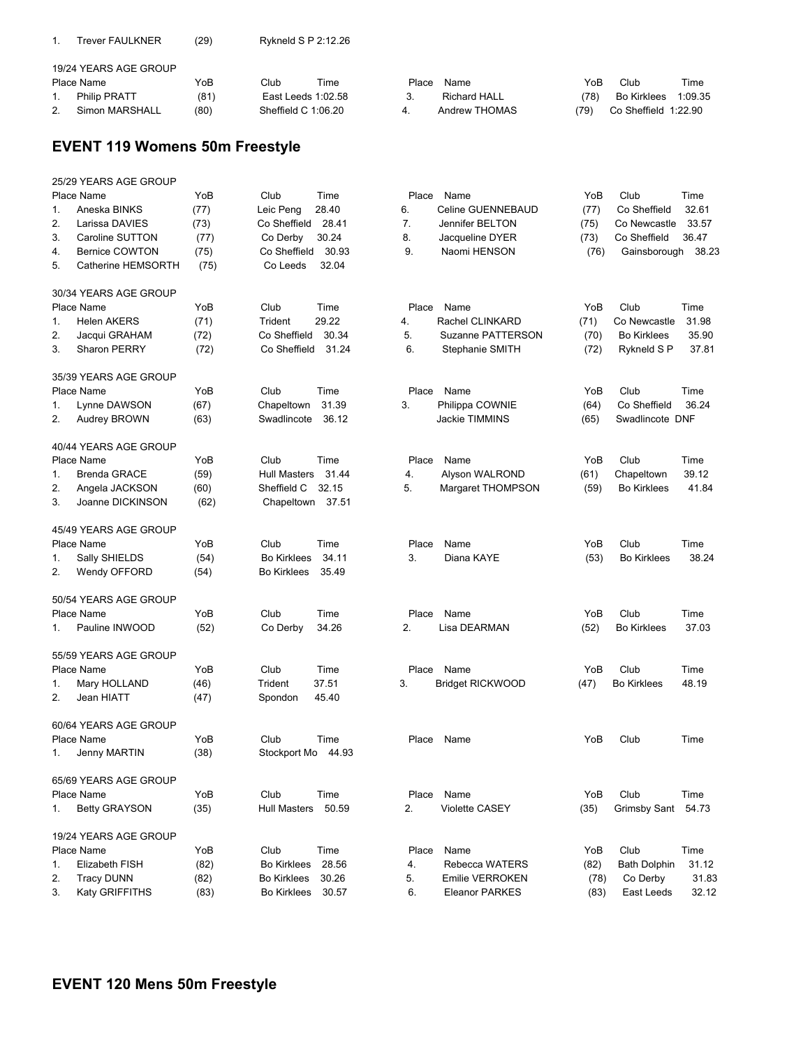| Trever FAULKNER | (29) | Rykneld S P 2:12.26 |
|-----------------|------|---------------------|
|                 |      |                     |

|             | 19/24 YEARS AGE GROUP |      |                     |      |       |               |      |                      |         |
|-------------|-----------------------|------|---------------------|------|-------|---------------|------|----------------------|---------|
|             | Place Name            | YoB  | Club                | Time | Place | Name          | YoB. | Club                 | Time    |
|             | <b>Philip PRATT</b>   | (81) | East Leeds 1:02.58  |      |       | Richard HALL  | (78) | Bo Kirklees          | 1:09.35 |
| <u>. . </u> | Simon MARSHALL        | (80) | Sheffield C 1:06.20 |      |       | Andrew THOMAS | (79) | Co Sheffield 1:22.90 |         |

## **EVENT 119 Womens 50m Freestyle**

|    | 25/29 YEARS AGE GROUP |      |                     |       |       |                         |      |                     |       |
|----|-----------------------|------|---------------------|-------|-------|-------------------------|------|---------------------|-------|
|    | Place Name            | YoB  | Club                | Time  | Place | Name                    | YoB  | Club                | Time  |
| 1. | Aneska BINKS          | (77) | Leic Peng           | 28.40 | 6.    | Celine GUENNEBAUD       | (77) | Co Sheffield        | 32.61 |
| 2. | Larissa DAVIES        | (73) | Co Sheffield        | 28.41 | 7.    | Jennifer BELTON         | (75) | Co Newcastle        | 33.57 |
| 3. | Caroline SUTTON       | (77) | Co Derby            | 30.24 | 8.    | Jacqueline DYER         | (73) | Co Sheffield        | 36.47 |
| 4. | <b>Bernice COWTON</b> | (75) | Co Sheffield        | 30.93 | 9.    | Naomi HENSON            | (76) | Gainsborough        | 38.23 |
| 5. | Catherine HEMSORTH    | (75) | Co Leeds            | 32.04 |       |                         |      |                     |       |
|    | 30/34 YEARS AGE GROUP |      |                     |       |       |                         |      |                     |       |
|    | Place Name            | YoB  | Club                | Time  | Place | Name                    | YoB  | Club                | Time  |
| 1. | <b>Helen AKERS</b>    | (71) | Trident             | 29.22 | 4.    | Rachel CLINKARD         | (71) | Co Newcastle        | 31.98 |
| 2. | Jacqui GRAHAM         | (72) | Co Sheffield        | 30.34 | 5.    | Suzanne PATTERSON       | (70) | <b>Bo Kirklees</b>  | 35.90 |
| 3. | <b>Sharon PERRY</b>   | (72) | Co Sheffield        | 31.24 | 6.    | Stephanie SMITH         | (72) | Rykneld S P         | 37.81 |
|    | 35/39 YEARS AGE GROUP |      |                     |       |       |                         |      |                     |       |
|    | Place Name            | YoB  | Club                | Time  | Place | Name                    | YoB  | Club                | Time  |
| 1. | Lynne DAWSON          | (67) | Chapeltown          | 31.39 | 3.    | Philippa COWNIE         | (64) | Co Sheffield        | 36.24 |
| 2. | Audrey BROWN          | (63) | Swadlincote         | 36.12 |       | Jackie TIMMINS          | (65) | Swadlincote DNF     |       |
|    | 40/44 YEARS AGE GROUP |      |                     |       |       |                         |      |                     |       |
|    | Place Name            | YoB  | Club                | Time  | Place | Name                    | YoB  | Club                | Time  |
| 1. | <b>Brenda GRACE</b>   | (59) | <b>Hull Masters</b> | 31.44 | 4.    | Alyson WALROND          | (61) | Chapeltown          | 39.12 |
| 2. | Angela JACKSON        | (60) | Sheffield C         | 32.15 | 5.    | Margaret THOMPSON       | (59) | <b>Bo Kirklees</b>  | 41.84 |
| 3. | Joanne DICKINSON      | (62) | Chapeltown 37.51    |       |       |                         |      |                     |       |
|    | 45/49 YEARS AGE GROUP |      |                     |       |       |                         |      |                     |       |
|    | Place Name            | YoB  | Club                | Time  | Place | Name                    | YoB  | Club                | Time  |
| 1. | Sally SHIELDS         | (54) | <b>Bo Kirklees</b>  | 34.11 | 3.    | Diana KAYE              | (53) | <b>Bo Kirklees</b>  | 38.24 |
| 2. | Wendy OFFORD          | (54) | <b>Bo Kirklees</b>  | 35.49 |       |                         |      |                     |       |
|    | 50/54 YEARS AGE GROUP |      |                     |       |       |                         |      |                     |       |
|    | Place Name            | YoB  | Club                | Time  | Place | Name                    | YoB  | Club                | Time  |
| 1. | Pauline INWOOD        | (52) | Co Derby            | 34.26 | 2.    | Lisa DEARMAN            | (52) | <b>Bo Kirklees</b>  | 37.03 |
|    | 55/59 YEARS AGE GROUP |      |                     |       |       |                         |      |                     |       |
|    | Place Name            | YoB  | Club                | Time  | Place | Name                    | YoB  | Club                | Time  |
| 1. | Mary HOLLAND          | (46) | Trident             | 37.51 | 3.    | <b>Bridget RICKWOOD</b> | (47) | <b>Bo Kirklees</b>  | 48.19 |
| 2. | Jean HIATT            | (47) | Spondon             | 45.40 |       |                         |      |                     |       |
|    | 60/64 YEARS AGE GROUP |      |                     |       |       |                         |      |                     |       |
|    | Place Name            | YoB  | Club                | Time  | Place | Name                    | YoB  | Club                | Time  |
| 1. | Jenny MARTIN          | (38) | Stockport Mo        | 44.93 |       |                         |      |                     |       |
|    | 65/69 YEARS AGE GROUP |      |                     |       |       |                         |      |                     |       |
|    | Place Name            | YoB  | Club                | Time  | Place | Name                    | YoB  | Club                | Time  |
| 1. | <b>Betty GRAYSON</b>  | (35) | Hull Masters        | 50.59 | 2.    | <b>Violette CASEY</b>   | (35) | Grimsby Sant        | 54.73 |
|    | 19/24 YEARS AGE GROUP |      |                     |       |       |                         |      |                     |       |
|    | Place Name            | YoB  | Club                | Time  | Place | Name                    | YoB  | Club                | Time  |
| 1. | Elizabeth FISH        | (82) | <b>Bo Kirklees</b>  | 28.56 | 4.    | Rebecca WATERS          | (82) | <b>Bath Dolphin</b> | 31.12 |
| 2. | <b>Tracy DUNN</b>     | (82) | <b>Bo Kirklees</b>  | 30.26 | 5.    | Emilie VERROKEN         | (78) | Co Derby            | 31.83 |
| 3. | Katy GRIFFITHS        | (83) | <b>Bo Kirklees</b>  | 30.57 | 6.    | <b>Eleanor PARKES</b>   | (83) | East Leeds          | 32.12 |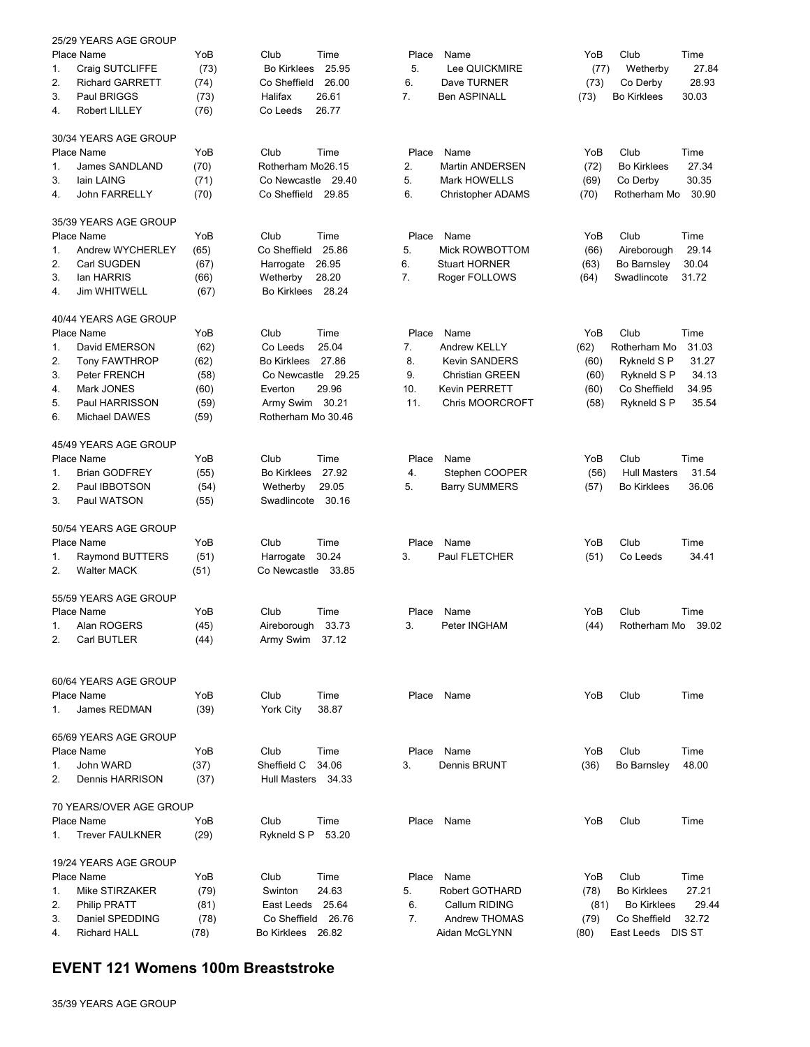|    | 25/29 YEARS AGE GROUP   |      |                             |       |                        |      |                     |       |
|----|-------------------------|------|-----------------------------|-------|------------------------|------|---------------------|-------|
|    | Place Name              | YoB  | Club<br>Time                | Place | Name                   | YoB  | Club                | Time  |
| 1. | Craig SUTCLIFFE         | (73) | <b>Bo Kirklees</b><br>25.95 | 5.    | Lee QUICKMIRE          | (77) | Wetherby            | 27.84 |
| 2. | <b>Richard GARRETT</b>  | (74) | Co Sheffield<br>26.00       | 6.    | Dave TURNER            | (73) | Co Derby            | 28.93 |
| 3. | Paul BRIGGS             | (73) | Halifax<br>26.61            | 7.    | <b>Ben ASPINALL</b>    | (73) | <b>Bo Kirklees</b>  | 30.03 |
| 4. | <b>Robert LILLEY</b>    | (76) | Co Leeds<br>26.77           |       |                        |      |                     |       |
|    | 30/34 YEARS AGE GROUP   |      |                             |       |                        |      |                     |       |
|    | Place Name              | YoB  | Club<br>Time                | Place | Name                   | YoB  | Club                | Time  |
| 1. | James SANDLAND          | (70) | Rotherham Mo26.15           | 2.    | Martin ANDERSEN        | (72) | <b>Bo Kirklees</b>  | 27.34 |
| 3. | lain LAING              | (71) | Co Newcastle 29.40          | 5.    | <b>Mark HOWELLS</b>    | (69) | Co Derby            | 30.35 |
| 4. | John FARRELLY           | (70) | Co Sheffield 29.85          | 6.    | Christopher ADAMS      | (70) | Rotherham Mo        | 30.90 |
|    | 35/39 YEARS AGE GROUP   |      |                             |       |                        |      |                     |       |
|    | Place Name              | YoB  | Club<br>Time                | Place | Name                   | YoB  | Club                | Time  |
| 1. | Andrew WYCHERLEY        | (65) | Co Sheffield<br>25.86       | 5.    | Mick ROWBOTTOM         | (66) | Aireborough         | 29.14 |
| 2. | Carl SUGDEN             | (67) | 26.95<br>Harrogate          | 6.    | <b>Stuart HORNER</b>   | (63) | Bo Barnsley         | 30.04 |
| 3. | lan HARRIS              | (66) | 28.20<br>Wetherby           | 7.    | Roger FOLLOWS          | (64) | Swadlincote         | 31.72 |
| 4. | <b>Jim WHITWELL</b>     | (67) | Bo Kirklees 28.24           |       |                        |      |                     |       |
|    | 40/44 YEARS AGE GROUP   |      |                             |       |                        |      |                     |       |
|    | Place Name              | YoB  | Club<br>Time                | Place | Name                   | YoB  | Club                | Time  |
| 1. | David EMERSON           | (62) | 25.04<br>Co Leeds           | 7.    | <b>Andrew KELLY</b>    | (62) | Rotherham Mo        | 31.03 |
| 2. | <b>Tony FAWTHROP</b>    | (62) | 27.86<br><b>Bo Kirklees</b> | 8.    | <b>Kevin SANDERS</b>   | (60) | Rykneld S P         | 31.27 |
| 3. | Peter FRENCH            | (58) | Co Newcastle 29.25          | 9.    | <b>Christian GREEN</b> | (60) | Rykneld S P         | 34.13 |
| 4. | Mark JONES              | (60) | 29.96<br>Everton            | 10.   | Kevin PERRETT          | (60) | Co Sheffield        | 34.95 |
| 5. | Paul HARRISSON          | (59) | Army Swim 30.21             | 11.   | <b>Chris MOORCROFT</b> | (58) | Rykneld S P         | 35.54 |
| 6. | Michael DAWES           | (59) | Rotherham Mo 30.46          |       |                        |      |                     |       |
|    | 45/49 YEARS AGE GROUP   |      |                             |       |                        |      |                     |       |
|    | Place Name              | YoB  | Club<br>Time                | Place | Name                   | YoB  | Club                | Time  |
| 1. | <b>Brian GODFREY</b>    | (55) | 27.92<br><b>Bo Kirklees</b> | 4.    | Stephen COOPER         | (56) | <b>Hull Masters</b> | 31.54 |
| 2. | Paul IBBOTSON           | (54) | 29.05<br>Wetherby           | 5.    | <b>Barry SUMMERS</b>   | (57) | <b>Bo Kirklees</b>  | 36.06 |
| 3. | Paul WATSON             | (55) | Swadlincote<br>30.16        |       |                        |      |                     |       |
|    | 50/54 YEARS AGE GROUP   |      |                             |       |                        |      |                     |       |
|    | Place Name              | YoB  | Club<br>Time                | Place | Name                   | YoB  | Club                | Time  |
| 1. | Raymond BUTTERS         | (51) | Harrogate<br>30.24          | 3.    | Paul FLETCHER          | (51) | Co Leeds            | 34.41 |
| 2. | <b>Walter MACK</b>      | (51) | Co Newcastle 33.85          |       |                        |      |                     |       |
|    | 55/59 YEARS AGE GROUP   |      |                             |       |                        |      |                     |       |
|    | Place Name              | YoB  | Club<br>Time                | Place | Name                   | YoB  | Club                | Time  |
| 1. | Alan ROGERS             | (45) | Aireborough<br>33.73        | 3.    | Peter INGHAM           | (44) | Rotherham Mo        | 39.02 |
| 2. | Carl BUTLER             | (44) | Army Swim 37.12             |       |                        |      |                     |       |
|    |                         |      |                             |       |                        |      |                     |       |
|    | 60/64 YEARS AGE GROUP   |      |                             |       |                        |      |                     |       |
|    | Place Name              | YoB  | Club<br>Time                |       | Place Name             | YoB  | Club                | Time  |
| 1. | James REDMAN            | (39) | <b>York City</b><br>38.87   |       |                        |      |                     |       |
|    | 65/69 YEARS AGE GROUP   |      |                             |       |                        |      |                     |       |
|    | Place Name              | YoB  | Club<br>Time                | Place | Name                   | YoB  | Club                | Time  |
| 1. | John WARD               | (37) | Sheffield C<br>34.06        | 3.    | <b>Dennis BRUNT</b>    | (36) | Bo Barnsley         | 48.00 |
| 2. | Dennis HARRISON         | (37) | Hull Masters 34.33          |       |                        |      |                     |       |
|    | 70 YEARS/OVER AGE GROUP |      |                             |       |                        |      |                     |       |
|    | Place Name              | YoB  | Club<br>Time                | Place | Name                   | YoB  | Club                | Time  |
| 1. | <b>Trever FAULKNER</b>  | (29) | Rykneld S P<br>53.20        |       |                        |      |                     |       |
|    | 19/24 YEARS AGE GROUP   |      |                             |       |                        |      |                     |       |
|    | Place Name              | YoB  | Club<br>Time                | Place | Name                   | YoB  | Club                | Time  |
| 1. | Mike STIRZAKER          | (79) | 24.63<br>Swinton            | 5.    | Robert GOTHARD         | (78) | <b>Bo Kirklees</b>  | 27.21 |
| 2. | Philip PRATT            | (81) | East Leeds 25.64            | 6.    | Callum RIDING          | (81) | <b>Bo Kirklees</b>  | 29.44 |
| 3. | Daniel SPEDDING         | (78) | Co Sheffield 26.76          | 7.    | Andrew THOMAS          | (79) | Co Sheffield        | 32.72 |
| 4. | <b>Richard HALL</b>     | (78) | Bo Kirklees 26.82           |       | Aidan McGLYNN          | (80) | East Leeds DIS ST   |       |
|    |                         |      |                             |       |                        |      |                     |       |

### **EVENT 121 Womens 100m Breaststroke**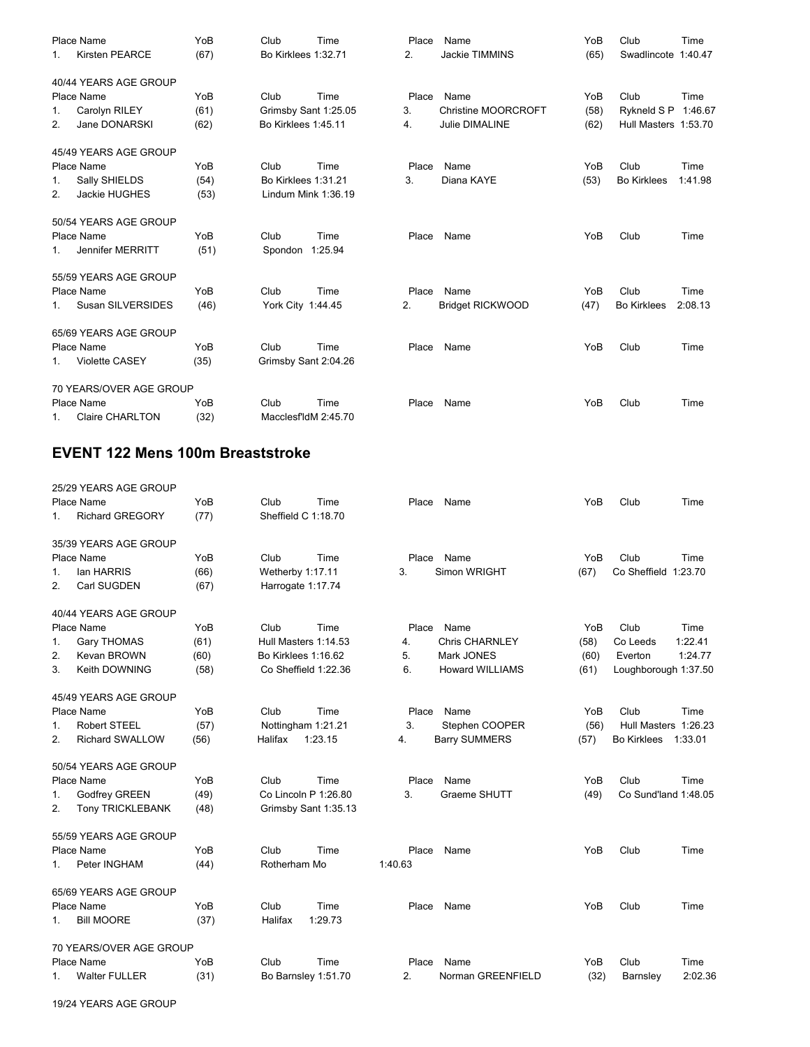|         | Place Name              | YoB  | Club                 | Time | Place | Name                    | YoB  | Club                 | Time    |
|---------|-------------------------|------|----------------------|------|-------|-------------------------|------|----------------------|---------|
| $1_{-}$ | <b>Kirsten PEARCE</b>   | (67) | Bo Kirklees 1:32.71  |      | 2.    | <b>Jackie TIMMINS</b>   | (65) | Swadlincote 1:40.47  |         |
|         | 40/44 YEARS AGE GROUP   |      |                      |      |       |                         |      |                      |         |
|         | Place Name              | YoB  | Club                 | Time | Place | Name                    | YoB  | Club                 | Time    |
| 1.      | Carolyn RILEY           | (61) | Grimsby Sant 1:25.05 |      | 3.    | Christine MOORCROFT     | (58) | Rykneld S P 1:46.67  |         |
| 2.      | Jane DONARSKI           | (62) | Bo Kirklees 1:45.11  |      | 4.    | Julie DIMALINE          | (62) | Hull Masters 1:53.70 |         |
|         | 45/49 YEARS AGE GROUP   |      |                      |      |       |                         |      |                      |         |
|         | Place Name              | YoB  | Club                 | Time | Place | Name                    | YoB  | Club                 | Time    |
| 1.      | Sally SHIELDS           | (54) | Bo Kirklees 1:31.21  |      | 3.    | Diana KAYE              | (53) | <b>Bo Kirklees</b>   | 1:41.98 |
| 2.      | Jackie HUGHES           | (53) | Lindum Mink 1:36.19  |      |       |                         |      |                      |         |
|         | 50/54 YEARS AGE GROUP   |      |                      |      |       |                         |      |                      |         |
|         | Place Name              | YoB  | Club                 | Time | Place | Name                    | YoB  | Club                 | Time    |
| 1.      | Jennifer MERRITT        | (51) | Spondon 1:25.94      |      |       |                         |      |                      |         |
|         | 55/59 YEARS AGE GROUP   |      |                      |      |       |                         |      |                      |         |
|         | Place Name              | YoB  | Club                 | Time | Place | Name                    | YoB  | Club                 | Time    |
| 1.      | Susan SILVERSIDES       | (46) | York City 1:44.45    |      | 2.    | <b>Bridget RICKWOOD</b> | (47) | <b>Bo Kirklees</b>   | 2:08.13 |
|         | 65/69 YEARS AGE GROUP   |      |                      |      |       |                         |      |                      |         |
|         | Place Name              | YoB  | Club                 | Time | Place | Name                    | YoB  | Club                 | Time    |
| 1.      | <b>Violette CASEY</b>   | (35) | Grimsby Sant 2:04.26 |      |       |                         |      |                      |         |
|         | 70 YEARS/OVER AGE GROUP |      |                      |      |       |                         |      |                      |         |
|         | Place Name              | YoB  | Club                 | Time | Place | Name                    | YoB  | Club                 | Time    |
| 1.      | <b>Claire CHARLTON</b>  | (32) | MacclesfldM 2:45.70  |      |       |                         |      |                      |         |

# **EVENT 122 Mens 100m Breaststroke**

|                | 25/29 YEARS AGE GROUP   |      |                      |               |                                |                               |
|----------------|-------------------------|------|----------------------|---------------|--------------------------------|-------------------------------|
|                | Place Name              | YoB  | Club<br>Time         | Place<br>Name | YoB                            | Club<br>Time                  |
| 1.             | <b>Richard GREGORY</b>  | (77) | Sheffield C 1:18.70  |               |                                |                               |
|                | 35/39 YEARS AGE GROUP   |      |                      |               |                                |                               |
|                | Place Name              | YoB  | Club<br>Time         | Place<br>Name | YoB                            | Club<br>Time                  |
| $\mathbf{1}$ . | lan HARRIS              | (66) | Wetherby 1:17.11     | 3.            | Simon WRIGHT<br>(67)           | Co Sheffield 1:23.70          |
| 2.             | Carl SUGDEN             | (67) | Harrogate 1:17.74    |               |                                |                               |
|                | 40/44 YEARS AGE GROUP   |      |                      |               |                                |                               |
|                | Place Name              | YoB  | Club<br>Time         | Name<br>Place | YoB                            | Club<br>Time                  |
| 1.             | <b>Gary THOMAS</b>      | (61) | Hull Masters 1:14.53 | 4.            | <b>Chris CHARNLEY</b><br>(58)  | 1:22.41<br>Co Leeds           |
| 2.             | Kevan BROWN             | (60) | Bo Kirklees 1:16.62  | 5.            | Mark JONES<br>(60)             | Everton<br>1:24.77            |
| 3.             | Keith DOWNING           | (58) | Co Sheffield 1:22.36 | 6.            | <b>Howard WILLIAMS</b><br>(61) | Loughborough 1:37.50          |
|                | 45/49 YEARS AGE GROUP   |      |                      |               |                                |                               |
|                | Place Name              | YoB  | Club<br>Time         | Name<br>Place | YoB                            | Club<br>Time                  |
| 1.             | <b>Robert STEEL</b>     | (57) | Nottingham 1:21.21   | 3.            | Stephen COOPER<br>(56)         | Hull Masters 1:26.23          |
| 2.             | <b>Richard SWALLOW</b>  | (56) | Halifax<br>1:23.15   | 4.            | <b>Barry SUMMERS</b><br>(57)   | <b>Bo Kirklees</b><br>1:33.01 |
|                | 50/54 YEARS AGE GROUP   |      |                      |               |                                |                               |
|                | Place Name              | YoB  | Club<br>Time         | Name<br>Place | YoB                            | Club<br>Time                  |
| 1.             | Godfrey GREEN           | (49) | Co Lincoln P 1:26.80 | 3.            | Graeme SHUTT<br>(49)           | Co Sund'land 1:48.05          |
| 2.             | Tony TRICKLEBANK        | (48) | Grimsby Sant 1:35.13 |               |                                |                               |
|                | 55/59 YEARS AGE GROUP   |      |                      |               |                                |                               |
|                | Place Name              | YoB  | Club<br>Time         | Place<br>Name | YoB                            | Club<br>Time                  |
| 1.             | Peter INGHAM            | (44) | Rotherham Mo         | 1:40.63       |                                |                               |
|                | 65/69 YEARS AGE GROUP   |      |                      |               |                                |                               |
|                | Place Name              | YoB  | Time<br>Club         | Place<br>Name | YoB                            | Club<br>Time                  |
| 1.             | <b>Bill MOORE</b>       | (37) | 1:29.73<br>Halifax   |               |                                |                               |
|                | 70 YEARS/OVER AGE GROUP |      |                      |               |                                |                               |
|                | Place Name              | YoB  | Club<br>Time         | Place<br>Name | YoB                            | Club<br>Time                  |
| 1.             | <b>Walter FULLER</b>    | (31) | Bo Barnsley 1:51.70  | 2.            | (32)<br>Norman GREENFIELD      | 2:02.36<br>Barnsley           |

19/24 YEARS AGE GROUP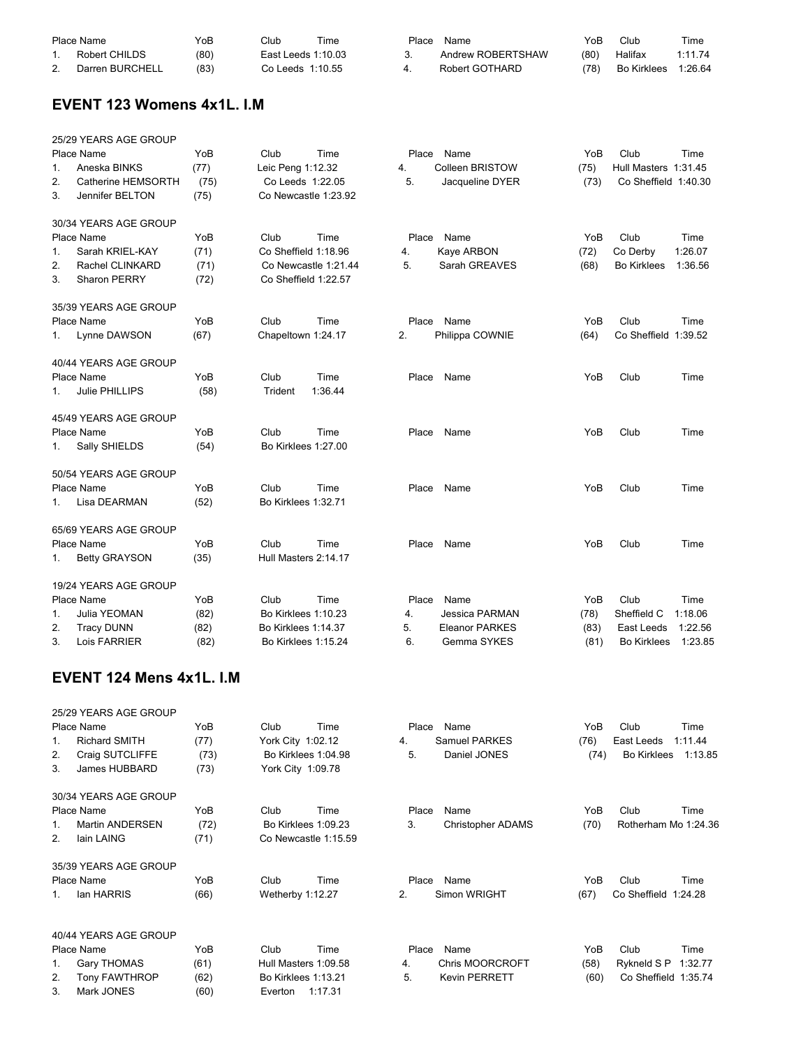|    | Place Name      | YoB  | Club.              | Time | Place | Name              | YoB  | Club        | Time    |
|----|-----------------|------|--------------------|------|-------|-------------------|------|-------------|---------|
|    | Robert CHILDS   | (80) | East Leeds 1:10.03 |      |       | Andrew ROBERTSHAW | (80) | Halifax     | 1:11.74 |
| 2. | Darren BURCHELL | (83) | Co Leeds 1:10.55   |      |       | Robert GOTHARD    | (78) | Bo Kirklees | 1:26.64 |

# **EVENT 123 Womens 4x1L. I.M**

|    | 25/29 YEARS AGE GROUP |      |                            |                      |       |                        |      |                      |         |
|----|-----------------------|------|----------------------------|----------------------|-------|------------------------|------|----------------------|---------|
|    | Place Name            | YoB  | Club                       | Time                 | Place | Name                   | YoB  | Club                 | Time    |
| 1. | Aneska BINKS          | (77) | Leic Peng 1:12.32          |                      | 4.    | <b>Colleen BRISTOW</b> | (75) | Hull Masters 1:31.45 |         |
| 2. | Catherine HEMSORTH    | (75) | Co Leeds 1:22.05           |                      | 5.    | Jacqueline DYER        | (73) | Co Sheffield 1:40.30 |         |
| 3. | Jennifer BELTON       | (75) | Co Newcastle 1:23.92       |                      |       |                        |      |                      |         |
|    | 30/34 YEARS AGE GROUP |      |                            |                      |       |                        |      |                      |         |
|    | Place Name            | YoB  | Club                       | Time                 | Place | Name                   | YoB  | Club                 | Time    |
| 1. | Sarah KRIEL-KAY       | (71) | Co Sheffield 1:18.96       |                      | 4.    | Kaye ARBON             | (72) | Co Derby             | 1:26.07 |
| 2. | Rachel CLINKARD       | (71) |                            | Co Newcastle 1:21.44 | 5.    | Sarah GREAVES          | (68) | <b>Bo Kirklees</b>   | 1:36.56 |
| 3. | Sharon PERRY          | (72) | Co Sheffield 1:22.57       |                      |       |                        |      |                      |         |
|    | 35/39 YEARS AGE GROUP |      |                            |                      |       |                        |      |                      |         |
|    | Place Name            | YoB  | Club                       | Time                 | Place | Name                   | YoB  | Club                 | Time    |
| 1. | Lynne DAWSON          | (67) | Chapeltown 1:24.17         |                      | 2.    | Philippa COWNIE        | (64) | Co Sheffield 1:39.52 |         |
|    | 40/44 YEARS AGE GROUP |      |                            |                      |       |                        |      |                      |         |
|    | Place Name            | YoB  | Club                       | Time                 |       | Place Name             | YoB  | Club                 | Time    |
| 1. | Julie PHILLIPS        | (58) | Trident                    | 1:36.44              |       |                        |      |                      |         |
|    | 45/49 YEARS AGE GROUP |      |                            |                      |       |                        |      |                      |         |
|    | Place Name            | YoB  | Club                       | Time                 |       | Place Name             | YoB  | Club                 | Time    |
| 1. | Sally SHIELDS         | (54) | Bo Kirklees 1:27.00        |                      |       |                        |      |                      |         |
|    | 50/54 YEARS AGE GROUP |      |                            |                      |       |                        |      |                      |         |
|    | Place Name            | YoB  | Club                       | Time                 | Place | Name                   | YoB  | Club                 | Time    |
| 1. | Lisa DEARMAN          | (52) | Bo Kirklees 1:32.71        |                      |       |                        |      |                      |         |
|    | 65/69 YEARS AGE GROUP |      |                            |                      |       |                        |      |                      |         |
|    | Place Name            | YoB  | Club                       | Time                 | Place | Name                   | YoB  | Club                 | Time    |
| 1. | <b>Betty GRAYSON</b>  | (35) | Hull Masters 2:14.17       |                      |       |                        |      |                      |         |
|    | 19/24 YEARS AGE GROUP |      |                            |                      |       |                        |      |                      |         |
|    | Place Name            | YoB  | Club                       | Time                 | Place | Name                   | YoB  | Club                 | Time    |
| 1. | Julia YEOMAN          | (82) | <b>Bo Kirklees 1:10.23</b> |                      | 4.    | Jessica PARMAN         | (78) | Sheffield C          | 1:18.06 |
| 2. | <b>Tracy DUNN</b>     | (82) | Bo Kirklees 1:14.37        |                      | 5.    | <b>Eleanor PARKES</b>  | (83) | East Leeds           | 1:22.56 |
| 3. | Lois FARRIER          | (82) | Bo Kirklees 1:15.24        |                      | 6.    | Gemma SYKES            | (81) | <b>Bo Kirklees</b>   | 1:23.85 |

## **EVENT 124 Mens 4x1L. I.M**

|         | 25/29 YEARS AGE GROUP |      |                            |         |       |                        |      |                      |         |
|---------|-----------------------|------|----------------------------|---------|-------|------------------------|------|----------------------|---------|
|         | Place Name            | YoB  | Club                       | Time    | Place | Name                   | YoB  | Club                 | Time    |
| 1.      | <b>Richard SMITH</b>  | (77) | York City 1:02.12          |         | 4.    | Samuel PARKES          | (76) | East Leeds           | 1:11.44 |
| 2.      | Craig SUTCLIFFE       | (73) | Bo Kirklees 1:04.98        |         | 5.    | Daniel JONES           | (74) | <b>Bo Kirklees</b>   | 1:13.85 |
| 3.      | James HUBBARD         | (73) | York City 1:09.78          |         |       |                        |      |                      |         |
|         | 30/34 YEARS AGE GROUP |      |                            |         |       |                        |      |                      |         |
|         | Place Name            | YoB  | Club                       | Time    | Place | Name                   | YoB  | Club                 | Time    |
| $1_{-}$ | Martin ANDERSEN       | (72) | Bo Kirklees 1:09.23        |         | 3.    | Christopher ADAMS      | (70) | Rotherham Mo 1:24.36 |         |
| 2.      | lain LAING            | (71) | Co Newcastle 1:15.59       |         |       |                        |      |                      |         |
|         | 35/39 YEARS AGE GROUP |      |                            |         |       |                        |      |                      |         |
|         | Place Name            | YoB  | Club                       | Time    | Place | Name                   | YoB  | Club                 | Time    |
| $1_{-}$ | lan HARRIS            | (66) | Wetherby 1:12.27           |         | 2.    | Simon WRIGHT           | (67) | Co Sheffield 1:24.28 |         |
|         | 40/44 YEARS AGE GROUP |      |                            |         |       |                        |      |                      |         |
|         | Place Name            | YoB  | Club                       | Time    | Place | Name                   | YoB  | Club                 | Time    |
| 1.      | <b>Gary THOMAS</b>    | (61) | Hull Masters 1:09.58       |         | 4.    | <b>Chris MOORCROFT</b> | (58) | Rykneld S P          | 1:32.77 |
| 2.      | <b>Tony FAWTHROP</b>  | (62) | <b>Bo Kirklees 1:13.21</b> |         | 5.    | <b>Kevin PERRETT</b>   | (60) | Co Sheffield 1:35.74 |         |
| 3.      | Mark JONES            | (60) | Everton                    | 1:17.31 |       |                        |      |                      |         |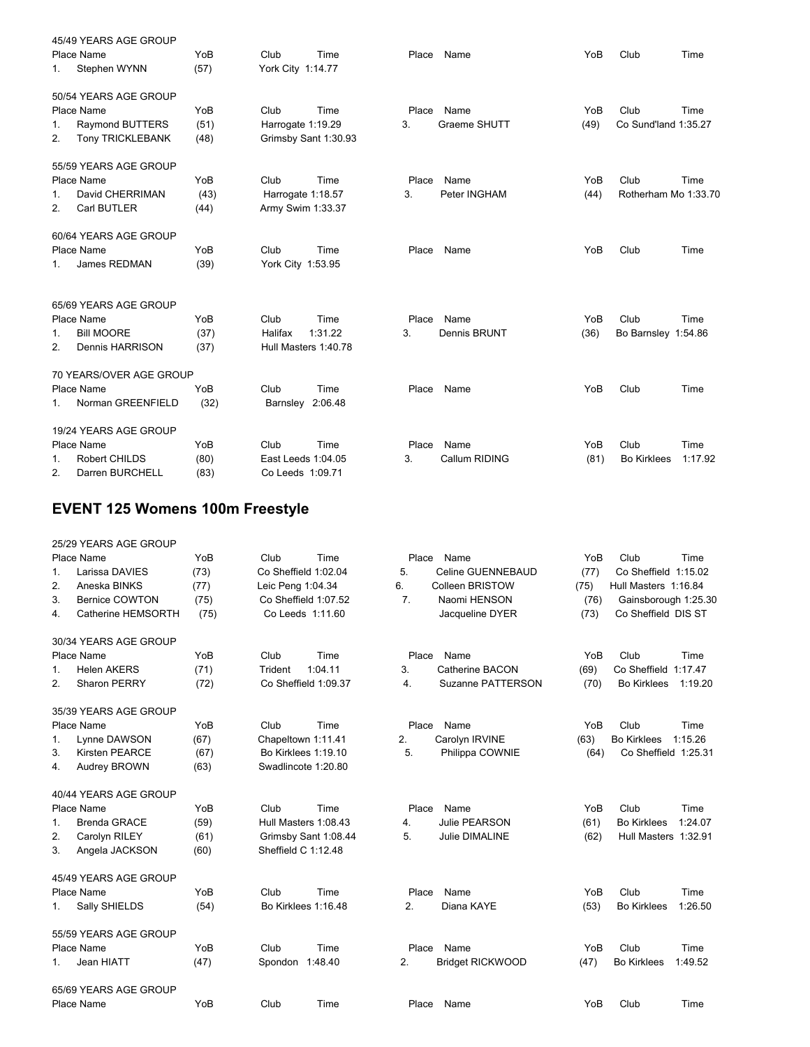|    | 45/49 YEARS AGE GROUP   |      |                    |                      |       |               |      |                      |         |
|----|-------------------------|------|--------------------|----------------------|-------|---------------|------|----------------------|---------|
|    | Place Name              | YoB  | Club               | Time                 | Place | Name          | YoB  | Club                 | Time    |
| 1. | Stephen WYNN            | (57) | York City 1:14.77  |                      |       |               |      |                      |         |
|    | 50/54 YEARS AGE GROUP   |      |                    |                      |       |               |      |                      |         |
|    | Place Name              | YoB  | Club               | Time                 | Place | Name          | YoB  | Club                 | Time    |
| 1. | <b>Raymond BUTTERS</b>  | (51) | Harrogate 1:19.29  |                      | 3.    | Graeme SHUTT  | (49) | Co Sund'land 1:35.27 |         |
| 2. | <b>Tony TRICKLEBANK</b> | (48) |                    | Grimsby Sant 1:30.93 |       |               |      |                      |         |
|    | 55/59 YEARS AGE GROUP   |      |                    |                      |       |               |      |                      |         |
|    | Place Name              | YoB  | Club               | Time                 | Place | Name          | YoB  | Club                 | Time    |
| 1. | David CHERRIMAN         | (43) | Harrogate 1:18.57  |                      | 3.    | Peter INGHAM  | (44) | Rotherham Mo 1:33.70 |         |
| 2. | Carl BUTLER             | (44) | Army Swim 1:33.37  |                      |       |               |      |                      |         |
|    | 60/64 YEARS AGE GROUP   |      |                    |                      |       |               |      |                      |         |
|    | Place Name              | YoB  | Club               | Time                 | Place | Name          | YoB  | Club                 | Time    |
| 1. | James REDMAN            | (39) | York City 1:53.95  |                      |       |               |      |                      |         |
|    | 65/69 YEARS AGE GROUP   |      |                    |                      |       |               |      |                      |         |
|    | Place Name              | YoB  | Club               | Time                 | Place | Name          | YoB  | Club                 | Time    |
| 1. | <b>Bill MOORE</b>       | (37) | Halifax            | 1:31.22              | 3.    | Dennis BRUNT  | (36) | Bo Barnsley 1:54.86  |         |
| 2. | Dennis HARRISON         | (37) |                    | Hull Masters 1:40.78 |       |               |      |                      |         |
|    | 70 YEARS/OVER AGE GROUP |      |                    |                      |       |               |      |                      |         |
|    | Place Name              | YoB  | Club               | Time                 | Place | Name          | YoB  | Club                 | Time    |
| 1. | Norman GREENFIELD       | (32) | Barnsley 2:06.48   |                      |       |               |      |                      |         |
|    | 19/24 YEARS AGE GROUP   |      |                    |                      |       |               |      |                      |         |
|    | Place Name              | YoB  | Club               | Time                 | Place | Name          | YoB  | Club                 | Time    |
| 1. | Robert CHILDS           | (80) | East Leeds 1:04.05 |                      | 3.    | Callum RIDING | (81) | <b>Bo Kirklees</b>   | 1:17.92 |
| 2. | Darren BURCHELL         | (83) | Co Leeds 1:09.71   |                      |       |               |      |                      |         |

# **EVENT 125 Womens 100m Freestyle**

|         | 25/29 YEARS AGE GROUP |      |                            |                                |      |                               |
|---------|-----------------------|------|----------------------------|--------------------------------|------|-------------------------------|
|         | Place Name            | YoB  | Club<br>Time               | Place<br>Name                  | YoB  | Club<br>Time                  |
| 1.      | Larissa DAVIES        | (73) | Co Sheffield 1:02.04       | 5.<br>Celine GUENNEBAUD        | (77) | Co Sheffield 1:15.02          |
| 2.      | Aneska BINKS          | (77) | Leic Peng 1:04.34          | 6.<br><b>Colleen BRISTOW</b>   | (75) | Hull Masters 1:16.84          |
| 3.      | <b>Bernice COWTON</b> | (75) | Co Sheffield 1:07.52       | 7 <sub>1</sub><br>Naomi HENSON | (76) | Gainsborough 1:25.30          |
| 4.      | Catherine HEMSORTH    | (75) | Co Leeds 1:11.60           | Jacqueline DYER                | (73) | Co Sheffield DIS ST           |
|         | 30/34 YEARS AGE GROUP |      |                            |                                |      |                               |
|         | Place Name            | YoB  | Time<br>Club               | Place<br>Name                  | YoB  | Club<br>Time                  |
| 1.      | <b>Helen AKERS</b>    | (71) | 1:04.11<br>Trident         | 3.<br>Catherine BACON          | (69) | Co Sheffield<br>1:17.47       |
| 2.      | Sharon PERRY          | (72) | Co Sheffield 1:09.37       | Suzanne PATTERSON<br>4.        | (70) | <b>Bo Kirklees</b><br>1:19.20 |
|         | 35/39 YEARS AGE GROUP |      |                            |                                |      |                               |
|         | Place Name            | YoB  | Club<br>Time               | Place<br>Name                  | YoB  | Club<br>Time                  |
| $1_{-}$ | Lynne DAWSON          | (67) | Chapeltown 1:11.41         | 2.<br>Carolyn IRVINE           | (63) | <b>Bo Kirklees</b><br>1:15.26 |
| 3.      | <b>Kirsten PEARCE</b> | (67) | <b>Bo Kirklees 1:19.10</b> | 5.<br>Philippa COWNIE          | (64) | Co Sheffield 1:25.31          |
| 4.      | Audrey BROWN          | (63) | Swadlincote 1:20.80        |                                |      |                               |
|         | 40/44 YEARS AGE GROUP |      |                            |                                |      |                               |
|         | Place Name            | YoB  | Club<br>Time               | Place<br>Name                  | YoB  | Club<br>Time                  |
| 1.      | <b>Brenda GRACE</b>   | (59) | Hull Masters 1:08.43       | Julie PEARSON<br>4.            | (61) | <b>Bo Kirklees</b><br>1:24.07 |
| 2.      | Carolyn RILEY         | (61) | Grimsby Sant 1:08.44       | Julie DIMALINE<br>5.           | (62) | Hull Masters 1:32.91          |
| 3.      | Angela JACKSON        | (60) | Sheffield C 1:12.48        |                                |      |                               |
|         | 45/49 YEARS AGE GROUP |      |                            |                                |      |                               |
|         | Place Name            | YoB  | Time<br>Club               | Place<br>Name                  | YoB  | Club<br>Time                  |
| 1.      | Sally SHIELDS         | (54) | Bo Kirklees 1:16.48        | 2.<br>Diana KAYE               | (53) | <b>Bo Kirklees</b><br>1:26.50 |
|         | 55/59 YEARS AGE GROUP |      |                            |                                |      |                               |
|         | Place Name            | YoB  | Club<br>Time               | Place<br>Name                  | YoB  | Club<br>Time                  |
| 1.      | Jean HIATT            | (47) | Spondon 1:48.40            | 2.<br><b>Bridget RICKWOOD</b>  | (47) | <b>Bo Kirklees</b><br>1:49.52 |
|         | 65/69 YEARS AGE GROUP |      |                            |                                |      |                               |
|         | Place Name            | YoB  | Club<br>Time               | Place<br>Name                  | YoB  | Club<br>Time                  |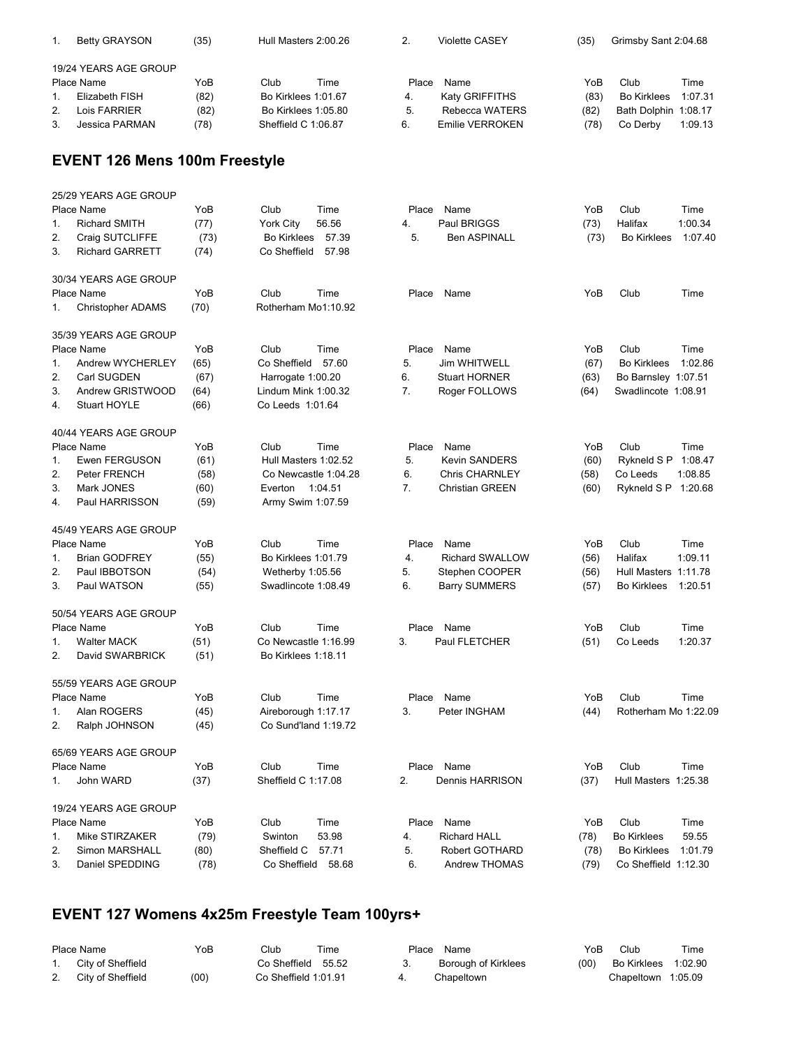|                | <b>Betty GRAYSON</b>  | (35) | Hull Masters 2:00.26 |      |       | <b>Violette CASEY</b> | (35) | Grimsby Sant 2:04.68 |         |
|----------------|-----------------------|------|----------------------|------|-------|-----------------------|------|----------------------|---------|
|                | 19/24 YEARS AGE GROUP |      |                      |      |       |                       |      |                      |         |
|                | Place Name            | YoB  | Club                 | Time | Place | Name                  | YoB  | Club                 | Time    |
|                | Elizabeth FISH        | (82) | Bo Kirklees 1:01.67  |      | 4.    | <b>Katy GRIFFITHS</b> | (83) | <b>Bo Kirklees</b>   | 1:07.31 |
| 2 <sub>1</sub> | Lois FARRIER          | (82) | Bo Kirklees 1:05.80  |      | 5.    | Rebecca WATERS        | (82) | Bath Dolphin 1:08.17 |         |
| 3.             | Jessica PARMAN        | (78) | Sheffield C 1:06.87  |      | 6.    | Emilie VERROKEN       | (78) | Co Derby             | 1:09.13 |

# **EVENT 126 Mens 100m Freestyle**

|                  | 25/29 YEARS AGE GROUP<br>Place Name | YoB  | Club                 | Time    | Place | Name                   | YoB  | Club                 | Time    |
|------------------|-------------------------------------|------|----------------------|---------|-------|------------------------|------|----------------------|---------|
| 1.               | <b>Richard SMITH</b>                | (77) | York City            | 56.56   | 4.    | Paul BRIGGS            | (73) | Halifax              | 1:00.34 |
| 2.               | Craig SUTCLIFFE                     | (73) | <b>Bo Kirklees</b>   | 57.39   | 5.    | <b>Ben ASPINALL</b>    | (73) | <b>Bo Kirklees</b>   | 1:07.40 |
| 3.               | <b>Richard GARRETT</b>              | (74) | Co Sheffield         | 57.98   |       |                        |      |                      |         |
|                  | 30/34 YEARS AGE GROUP               |      |                      |         |       |                        |      |                      |         |
|                  | Place Name                          | YoB  | Club                 | Time    | Place | Name                   | YoB  | Club                 | Time    |
| 1.               | Christopher ADAMS                   | (70) | Rotherham Mo1:10.92  |         |       |                        |      |                      |         |
|                  | 35/39 YEARS AGE GROUP               |      |                      |         |       |                        |      |                      |         |
|                  | Place Name                          | YoB  | Club                 | Time    | Place | Name                   | YoB  | Club                 | Time    |
| 1.               | Andrew WYCHERLEY                    | (65) | Co Sheffield         | 57.60   | 5.    | <b>Jim WHITWELL</b>    | (67) | <b>Bo Kirklees</b>   | 1:02.86 |
| 2.               | Carl SUGDEN                         | (67) | Harrogate 1:00.20    |         | 6.    | <b>Stuart HORNER</b>   | (63) | Bo Barnsley 1:07.51  |         |
| 3.               | Andrew GRISTWOOD                    | (64) | Lindum Mink 1:00.32  |         | 7.    | Roger FOLLOWS          | (64) | Swadlincote 1:08.91  |         |
| $\overline{4}$ . | Stuart HOYLE                        | (66) | Co Leeds 1:01.64     |         |       |                        |      |                      |         |
|                  | 40/44 YEARS AGE GROUP               |      |                      |         |       |                        |      |                      |         |
|                  | Place Name                          | YoB  | Club                 | Time    | Place | Name                   | YoB  | Club                 | Time    |
| 1.               | <b>Ewen FERGUSON</b>                | (61) | Hull Masters 1:02.52 |         | 5.    | Kevin SANDERS          | (60) | Rykneld S P          | 1:08.47 |
| 2.               | <b>Peter FRENCH</b>                 | (58) | Co Newcastle 1:04.28 |         | 6.    | <b>Chris CHARNLEY</b>  | (58) | Co Leeds             | 1:08.85 |
| 3.               | Mark JONES                          | (60) | Everton              | 1:04.51 | 7.    | <b>Christian GREEN</b> | (60) | Rykneld S P 1:20.68  |         |
| 4.               | Paul HARRISSON                      | (59) | Army Swim 1:07.59    |         |       |                        |      |                      |         |
|                  | 45/49 YEARS AGE GROUP               |      |                      |         |       |                        |      |                      |         |
|                  | Place Name                          | YoB  | Club                 | Time    | Place | Name                   | YoB  | Club                 | Time    |
| 1.               | <b>Brian GODFREY</b>                | (55) | Bo Kirklees 1:01.79  |         | 4.    | Richard SWALLOW        | (56) | Halifax              | 1:09.11 |
| 2.               | Paul IBBOTSON                       | (54) | Wetherby 1:05.56     |         | 5.    | Stephen COOPER         | (56) | Hull Masters 1:11.78 |         |
| 3.               | Paul WATSON                         | (55) | Swadlincote 1:08.49  |         | 6.    | <b>Barry SUMMERS</b>   | (57) | <b>Bo Kirklees</b>   | 1:20.51 |
|                  | 50/54 YEARS AGE GROUP               |      |                      |         |       |                        |      |                      |         |
|                  | Place Name                          | YoB  | Club                 | Time    |       | Place Name             | YoB  | Club                 | Time    |
| 1.               | <b>Walter MACK</b>                  | (51) | Co Newcastle 1:16.99 |         | 3.    | Paul FLETCHER          | (51) | Co Leeds             | 1:20.37 |
| $\mathcal{P}$    | David SWARBRICK                     | (51) | Bo Kirklees 1:18.11  |         |       |                        |      |                      |         |
|                  | 55/59 YEARS AGE GROUP               |      |                      |         |       |                        |      |                      |         |
|                  | Place Name                          | YoB  | Club                 | Time    | Place | Name                   | YoB  | Club                 | Time    |
| 1.               | Alan ROGERS                         | (45) | Aireborough 1:17.17  |         | 3.    | Peter INGHAM           | (44) | Rotherham Mo 1:22.09 |         |
| 2.               | Ralph JOHNSON                       | (45) | Co Sund'land 1:19.72 |         |       |                        |      |                      |         |
|                  | 65/69 YEARS AGE GROUP               |      |                      |         |       |                        |      |                      |         |
|                  | Place Name                          | YoB  | Club                 | Time    | Place | Name                   | YoB  | Club                 | Time    |
| 1 <sub>1</sub>   | John WARD                           | (37) | Sheffield C 1:17.08  |         | 2.    | Dennis HARRISON        | (37) | Hull Masters 1:25.38 |         |
|                  | 19/24 YEARS AGE GROUP               |      |                      |         |       |                        |      |                      |         |
|                  | Place Name                          | YoB  | Club                 | Time    | Place | Name                   | YoB  | Club                 | Time    |
| 1.               | Mike STIRZAKER                      | (79) | Swinton              | 53.98   | 4.    | <b>Richard HALL</b>    | (78) | <b>Bo Kirklees</b>   | 59.55   |
| 2.               | Simon MARSHALL                      | (80) | Sheffield C          | 57.71   | 5.    | Robert GOTHARD         | (78) | <b>Bo Kirklees</b>   | 1:01.79 |
| 3.               | Daniel SPEDDING                     | (78) | Co Sheffield 58.68   |         | 6.    | Andrew THOMAS          | (79) | Co Sheffield 1:12.30 |         |
|                  |                                     |      |                      |         |       |                        |      |                      |         |

# **EVENT 127 Womens 4x25m Freestyle Team 100yrs+**

|    | Place Name        | YoB  | Club.                | Time | Place | Name                | YoB  | Club               | Time    |
|----|-------------------|------|----------------------|------|-------|---------------------|------|--------------------|---------|
|    | City of Sheffield |      | Co Sheffield 55.52   |      |       | Borough of Kirklees | (00) | Bo Kirklees        | 1:02.90 |
| 2. | City of Sheffield | (00) | Co Sheffield 1:01.91 |      |       | Chapeltown          |      | Chapeltown 1:05.09 |         |